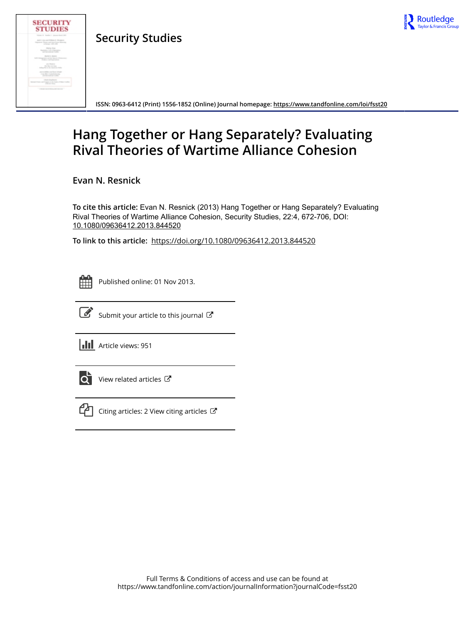

**Security Studies**



**ISSN: 0963-6412 (Print) 1556-1852 (Online) Journal homepage:<https://www.tandfonline.com/loi/fsst20>**

# **Hang Together or Hang Separately? Evaluating Rival Theories of Wartime Alliance Cohesion**

**Evan N. Resnick**

**To cite this article:** Evan N. Resnick (2013) Hang Together or Hang Separately? Evaluating Rival Theories of Wartime Alliance Cohesion, Security Studies, 22:4, 672-706, DOI: [10.1080/09636412.2013.844520](https://www.tandfonline.com/action/showCitFormats?doi=10.1080/09636412.2013.844520)

**To link to this article:** <https://doi.org/10.1080/09636412.2013.844520>

|  | - |  |
|--|---|--|
|  |   |  |
|  |   |  |
|  |   |  |

Published online: 01 Nov 2013.



 $\overrightarrow{S}$  [Submit your article to this journal](https://www.tandfonline.com/action/authorSubmission?journalCode=fsst20&show=instructions)  $\overrightarrow{S}$ 

**III** Article views: 951



 $\overline{Q}$  [View related articles](https://www.tandfonline.com/doi/mlt/10.1080/09636412.2013.844520)  $\mathbb{Z}$ 



 $\mathbb{C}$  [Citing articles: 2 View citing articles](https://www.tandfonline.com/doi/citedby/10.1080/09636412.2013.844520#tabModule)  $\mathbb{C}$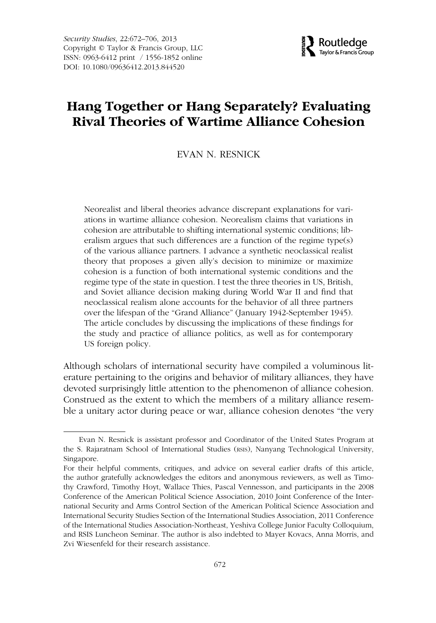

# **Hang Together or Hang Separately? Evaluating Rival Theories of Wartime Alliance Cohesion**

#### EVAN N. RESNICK

Neorealist and liberal theories advance discrepant explanations for variations in wartime alliance cohesion. Neorealism claims that variations in cohesion are attributable to shifting international systemic conditions; liberalism argues that such differences are a function of the regime type(s) of the various alliance partners. I advance a synthetic neoclassical realist theory that proposes a given ally's decision to minimize or maximize cohesion is a function of both international systemic conditions and the regime type of the state in question. I test the three theories in US, British, and Soviet alliance decision making during World War II and find that neoclassical realism alone accounts for the behavior of all three partners over the lifespan of the "Grand Alliance" (January 1942-September 1945). The article concludes by discussing the implications of these findings for the study and practice of alliance politics, as well as for contemporary US foreign policy.

Although scholars of international security have compiled a voluminous literature pertaining to the origins and behavior of military alliances, they have devoted surprisingly little attention to the phenomenon of alliance cohesion. Construed as the extent to which the members of a military alliance resemble a unitary actor during peace or war, alliance cohesion denotes "the very

Evan N. Resnick is assistant professor and Coordinator of the United States Program at the S. Rajaratnam School of International Studies (RSIS), Nanyang Technological University, Singapore.

For their helpful comments, critiques, and advice on several earlier drafts of this article, the author gratefully acknowledges the editors and anonymous reviewers, as well as Timothy Crawford, Timothy Hoyt, Wallace Thies, Pascal Vennesson, and participants in the 2008 Conference of the American Political Science Association, 2010 Joint Conference of the International Security and Arms Control Section of the American Political Science Association and International Security Studies Section of the International Studies Association, 2011 Conference of the International Studies Association-Northeast, Yeshiva College Junior Faculty Colloquium, and RSIS Luncheon Seminar. The author is also indebted to Mayer Kovacs, Anna Morris, and Zvi Wiesenfeld for their research assistance.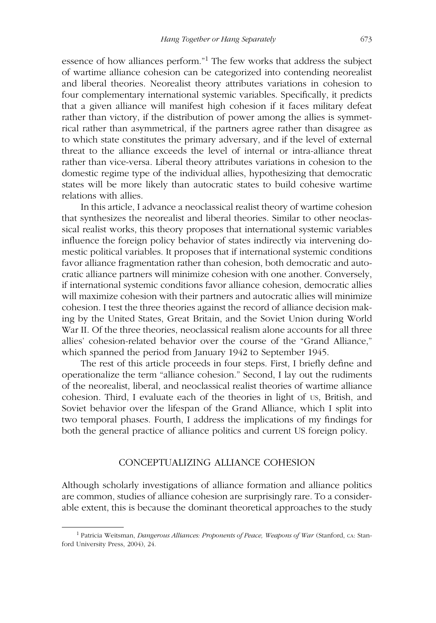essence of how alliances perform."<sup>1</sup> The few works that address the subject of wartime alliance cohesion can be categorized into contending neorealist and liberal theories. Neorealist theory attributes variations in cohesion to four complementary international systemic variables. Specifically, it predicts that a given alliance will manifest high cohesion if it faces military defeat rather than victory, if the distribution of power among the allies is symmetrical rather than asymmetrical, if the partners agree rather than disagree as to which state constitutes the primary adversary, and if the level of external threat to the alliance exceeds the level of internal or intra-alliance threat rather than vice-versa. Liberal theory attributes variations in cohesion to the domestic regime type of the individual allies, hypothesizing that democratic states will be more likely than autocratic states to build cohesive wartime relations with allies.

In this article, I advance a neoclassical realist theory of wartime cohesion that synthesizes the neorealist and liberal theories. Similar to other neoclassical realist works, this theory proposes that international systemic variables influence the foreign policy behavior of states indirectly via intervening domestic political variables. It proposes that if international systemic conditions favor alliance fragmentation rather than cohesion, both democratic and autocratic alliance partners will minimize cohesion with one another. Conversely, if international systemic conditions favor alliance cohesion, democratic allies will maximize cohesion with their partners and autocratic allies will minimize cohesion. I test the three theories against the record of alliance decision making by the United States, Great Britain, and the Soviet Union during World War II. Of the three theories, neoclassical realism alone accounts for all three allies' cohesion-related behavior over the course of the "Grand Alliance," which spanned the period from January 1942 to September 1945.

The rest of this article proceeds in four steps. First, I briefly define and operationalize the term "alliance cohesion." Second, I lay out the rudiments of the neorealist, liberal, and neoclassical realist theories of wartime alliance cohesion. Third, I evaluate each of the theories in light of US, British, and Soviet behavior over the lifespan of the Grand Alliance, which I split into two temporal phases. Fourth, I address the implications of my findings for both the general practice of alliance politics and current US foreign policy.

# CONCEPTUALIZING ALLIANCE COHESION

Although scholarly investigations of alliance formation and alliance politics are common, studies of alliance cohesion are surprisingly rare. To a considerable extent, this is because the dominant theoretical approaches to the study

<sup>1</sup> Patricia Weitsman, *Dangerous Alliances: Proponents of Peace, Weapons of War* (Stanford, CA: Stanford University Press, 2004), 24.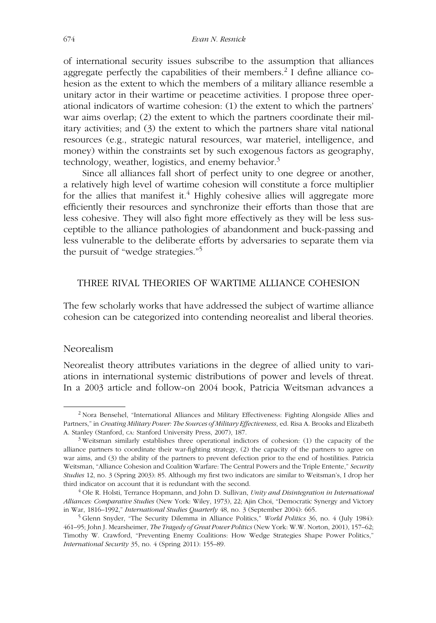of international security issues subscribe to the assumption that alliances aggregate perfectly the capabilities of their members.<sup>2</sup> I define alliance cohesion as the extent to which the members of a military alliance resemble a unitary actor in their wartime or peacetime activities. I propose three operational indicators of wartime cohesion: (1) the extent to which the partners' war aims overlap; (2) the extent to which the partners coordinate their military activities; and (3) the extent to which the partners share vital national resources (e.g., strategic natural resources, war materiel, intelligence, and money) within the constraints set by such exogenous factors as geography, technology, weather, logistics, and enemy behavior.<sup>3</sup>

Since all alliances fall short of perfect unity to one degree or another, a relatively high level of wartime cohesion will constitute a force multiplier for the allies that manifest it.<sup>4</sup> Highly cohesive allies will aggregate more efficiently their resources and synchronize their efforts than those that are less cohesive. They will also fight more effectively as they will be less susceptible to the alliance pathologies of abandonment and buck-passing and less vulnerable to the deliberate efforts by adversaries to separate them via the pursuit of "wedge strategies."5

#### THREE RIVAL THEORIES OF WARTIME ALLIANCE COHESION

The few scholarly works that have addressed the subject of wartime alliance cohesion can be categorized into contending neorealist and liberal theories.

#### Neorealism

Neorealist theory attributes variations in the degree of allied unity to variations in international systemic distributions of power and levels of threat. In a 2003 article and follow-on 2004 book, Patricia Weitsman advances a

<sup>2</sup> Nora Bensehel, "International Alliances and Military Effectiveness: Fighting Alongside Allies and Partners," in *Creating Military Power: The Sources of Military Effectiveness*, ed. Risa A. Brooks and Elizabeth A. Stanley (Stanford, CA: Stanford University Press, 2007), 187.

<sup>3</sup> Weitsman similarly establishes three operational indictors of cohesion: (1) the capacity of the alliance partners to coordinate their war-fighting strategy, (2) the capacity of the partners to agree on war aims, and (3) the ability of the partners to prevent defection prior to the end of hostilities. Patricia Weitsman, "Alliance Cohesion and Coalition Warfare: The Central Powers and the Triple Entente," *Security Studies* 12, no. 3 (Spring 2003): 85. Although my first two indicators are similar to Weitsman's, I drop her third indicator on account that it is redundant with the second.

<sup>4</sup> Ole R. Holsti, Terrance Hopmann, and John D. Sullivan, *Unity and Disintegration in International Alliances: Comparative Studies* (New York: Wiley, 1973), 22; Ajin Choi, "Democratic Synergy and Victory in War, 1816–1992," *International Studies Quarterly* 48, no. 3 (September 2004): 665.

<sup>5</sup> Glenn Snyder, "The Security Dilemma in Alliance Politics," *World Politics* 36, no. 4 (July 1984): 461–95; John J. Mearsheimer, *The Tragedy of Great Power Politics* (New York: W.W. Norton, 2001), 157–62; Timothy W. Crawford, "Preventing Enemy Coalitions: How Wedge Strategies Shape Power Politics," *International Security* 35, no. 4 (Spring 2011): 155–89.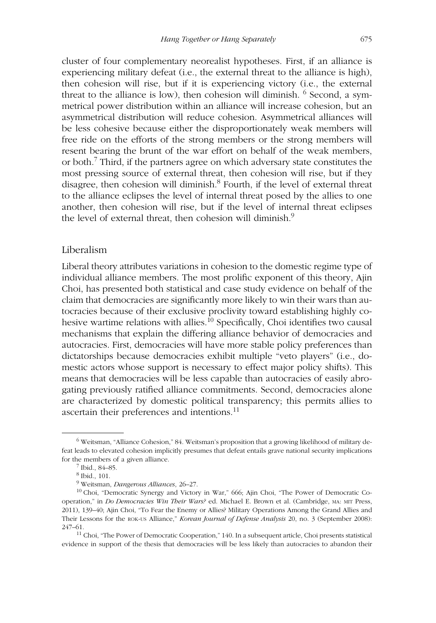cluster of four complementary neorealist hypotheses. First, if an alliance is experiencing military defeat (i.e., the external threat to the alliance is high), then cohesion will rise, but if it is experiencing victory (i.e., the external threat to the alliance is low), then cohesion will diminish.  $6$  Second, a symmetrical power distribution within an alliance will increase cohesion, but an asymmetrical distribution will reduce cohesion. Asymmetrical alliances will be less cohesive because either the disproportionately weak members will free ride on the efforts of the strong members or the strong members will resent bearing the brunt of the war effort on behalf of the weak members, or both.<sup>7</sup> Third, if the partners agree on which adversary state constitutes the most pressing source of external threat, then cohesion will rise, but if they disagree, then cohesion will diminish.8 Fourth, if the level of external threat to the alliance eclipses the level of internal threat posed by the allies to one another, then cohesion will rise, but if the level of internal threat eclipses the level of external threat, then cohesion will diminish.<sup>9</sup>

#### Liberalism

Liberal theory attributes variations in cohesion to the domestic regime type of individual alliance members. The most prolific exponent of this theory, Ajin Choi, has presented both statistical and case study evidence on behalf of the claim that democracies are significantly more likely to win their wars than autocracies because of their exclusive proclivity toward establishing highly cohesive wartime relations with allies.<sup>10</sup> Specifically, Choi identifies two causal mechanisms that explain the differing alliance behavior of democracies and autocracies. First, democracies will have more stable policy preferences than dictatorships because democracies exhibit multiple "veto players" (i.e., domestic actors whose support is necessary to effect major policy shifts). This means that democracies will be less capable than autocracies of easily abrogating previously ratified alliance commitments. Second, democracies alone are characterized by domestic political transparency; this permits allies to ascertain their preferences and intentions.<sup>11</sup>

<sup>6</sup> Weitsman, "Alliance Cohesion," 84. Weitsman's proposition that a growing likelihood of military defeat leads to elevated cohesion implicitly presumes that defeat entails grave national security implications for the members of a given alliance.

<sup>7</sup> Ibid., 84–85.

<sup>8</sup> Ibid., 101.

<sup>9</sup> Weitsman, *Dangerous Alliances*, 26–27.

<sup>10</sup> Choi, "Democratic Synergy and Victory in War," 666; Ajin Choi, "The Power of Democratic Cooperation," in *Do Democracies Win Their Wars?* ed. Michael E. Brown et al. (Cambridge, MA: MIT Press, 2011), 139–40; Ajin Choi, "To Fear the Enemy or Allies? Military Operations Among the Grand Allies and Their Lessons for the ROK-US Alliance," *Korean Journal of Defense Analysis* 20, no. 3 (September 2008): 247–61.

<sup>&</sup>lt;sup>11</sup> Choi, "The Power of Democratic Cooperation," 140. In a subsequent article, Choi presents statistical evidence in support of the thesis that democracies will be less likely than autocracies to abandon their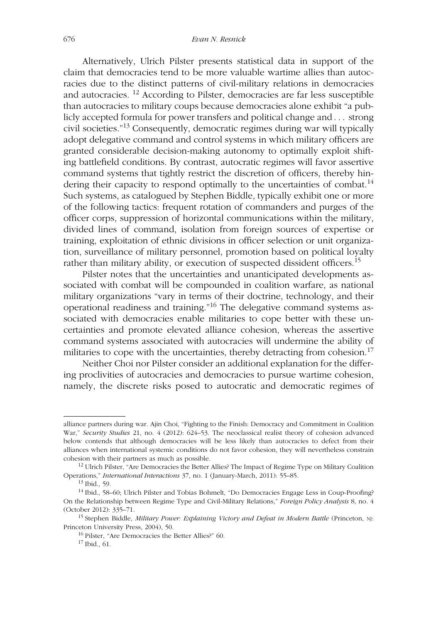Alternatively, Ulrich Pilster presents statistical data in support of the claim that democracies tend to be more valuable wartime allies than autocracies due to the distinct patterns of civil-military relations in democracies and autocracies. <sup>12</sup> According to Pilster, democracies are far less susceptible than autocracies to military coups because democracies alone exhibit "a publicly accepted formula for power transfers and political change and . . . strong civil societies."<sup>13</sup> Consequently, democratic regimes during war will typically adopt delegative command and control systems in which military officers are granted considerable decision-making autonomy to optimally exploit shifting battlefield conditions. By contrast, autocratic regimes will favor assertive command systems that tightly restrict the discretion of officers, thereby hindering their capacity to respond optimally to the uncertainties of combat.<sup>14</sup> Such systems, as catalogued by Stephen Biddle, typically exhibit one or more of the following tactics: frequent rotation of commanders and purges of the officer corps, suppression of horizontal communications within the military, divided lines of command, isolation from foreign sources of expertise or training, exploitation of ethnic divisions in officer selection or unit organization, surveillance of military personnel, promotion based on political loyalty rather than military ability, or execution of suspected dissident officers.<sup>15</sup>

Pilster notes that the uncertainties and unanticipated developments associated with combat will be compounded in coalition warfare, as national military organizations "vary in terms of their doctrine, technology, and their operational readiness and training."<sup>16</sup> The delegative command systems associated with democracies enable militaries to cope better with these uncertainties and promote elevated alliance cohesion, whereas the assertive command systems associated with autocracies will undermine the ability of militaries to cope with the uncertainties, thereby detracting from cohesion.<sup>17</sup>

Neither Choi nor Pilster consider an additional explanation for the differing proclivities of autocracies and democracies to pursue wartime cohesion, namely, the discrete risks posed to autocratic and democratic regimes of

alliance partners during war. Ajin Choi, "Fighting to the Finish: Democracy and Commitment in Coalition War," *Security Studies* 21, no. 4 (2012): 624–53. The neoclassical realist theory of cohesion advanced below contends that although democracies will be less likely than autocracies to defect from their alliances when international systemic conditions do not favor cohesion, they will nevertheless constrain cohesion with their partners as much as possible.

<sup>&</sup>lt;sup>12</sup> Ulrich Pilster, "Are Democracies the Better Allies? The Impact of Regime Type on Military Coalition Operations," *International Interactions* 37, no. 1 (January-March, 2011): 55–85.

 $13$  Ibid., 59.

<sup>&</sup>lt;sup>14</sup> Ibid., 58–60; Ulrich Pilster and Tobias Bohmelt, "Do Democracies Engage Less in Coup-Proofing? On the Relationship between Regime Type and Civil-Military Relations," *Foreign Policy Analysis* 8, no. 4 (October 2012): 335–71.

<sup>&</sup>lt;sup>15</sup> Stephen Biddle, *Military Power: Explaining Victory and Defeat in Modern Battle* (Princeton, NJ: Princeton University Press, 2004), 50.

<sup>16</sup> Pilster, "Are Democracies the Better Allies?" 60.

<sup>17</sup> Ibid., 61.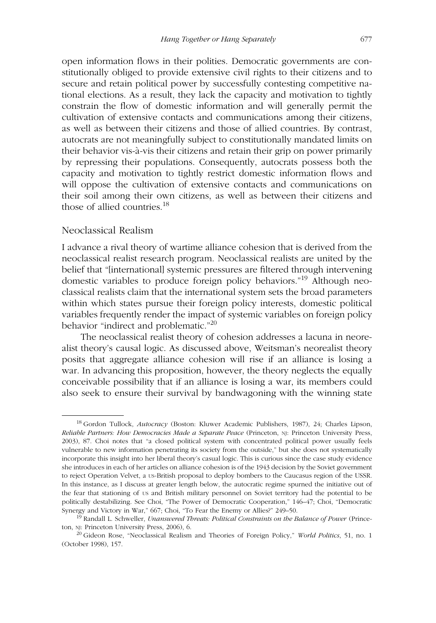open information flows in their polities. Democratic governments are constitutionally obliged to provide extensive civil rights to their citizens and to secure and retain political power by successfully contesting competitive national elections. As a result, they lack the capacity and motivation to tightly constrain the flow of domestic information and will generally permit the cultivation of extensive contacts and communications among their citizens, as well as between their citizens and those of allied countries. By contrast, autocrats are not meaningfully subject to constitutionally mandated limits on their behavior vis-à-vis their citizens and retain their grip on power primarily by repressing their populations. Consequently, autocrats possess both the capacity and motivation to tightly restrict domestic information flows and will oppose the cultivation of extensive contacts and communications on their soil among their own citizens, as well as between their citizens and those of allied countries.<sup>18</sup>

#### Neoclassical Realism

I advance a rival theory of wartime alliance cohesion that is derived from the neoclassical realist research program. Neoclassical realists are united by the belief that "[international] systemic pressures are filtered through intervening domestic variables to produce foreign policy behaviors."<sup>19</sup> Although neoclassical realists claim that the international system sets the broad parameters within which states pursue their foreign policy interests, domestic political variables frequently render the impact of systemic variables on foreign policy behavior "indirect and problematic."20

The neoclassical realist theory of cohesion addresses a lacuna in neorealist theory's causal logic. As discussed above, Weitsman's neorealist theory posits that aggregate alliance cohesion will rise if an alliance is losing a war. In advancing this proposition, however, the theory neglects the equally conceivable possibility that if an alliance is losing a war, its members could also seek to ensure their survival by bandwagoning with the winning state

<sup>18</sup> Gordon Tullock, *Autocracy* (Boston: Kluwer Academic Publishers, 1987), 24; Charles Lipson, *Reliable Partners: How Democracies Made a Separate Peace* (Princeton, NJ: Princeton University Press, 2003), 87. Choi notes that "a closed political system with concentrated political power usually feels vulnerable to new information penetrating its society from the outside," but she does not systematically incorporate this insight into her liberal theory's casual logic. This is curious since the case study evidence she introduces in each of her articles on alliance cohesion is of the 1943 decision by the Soviet government to reject Operation Velvet, a US-British proposal to deploy bombers to the Caucasus region of the USSR. In this instance, as I discuss at greater length below, the autocratic regime spurned the initiative out of the fear that stationing of US and British military personnel on Soviet territory had the potential to be politically destabilizing. See Choi, "The Power of Democratic Cooperation," 146–47; Choi, "Democratic Synergy and Victory in War," 667; Choi, "To Fear the Enemy or Allies?" 249–50.

<sup>19</sup> Randall L. Schweller, *Unanswered Threats: Political Constraints on the Balance of Power* (Princeton, NJ: Princeton University Press, 2006), 6.

<sup>20</sup> Gideon Rose, "Neoclassical Realism and Theories of Foreign Policy," *World Politics*, 51, no. 1 (October 1998), 157.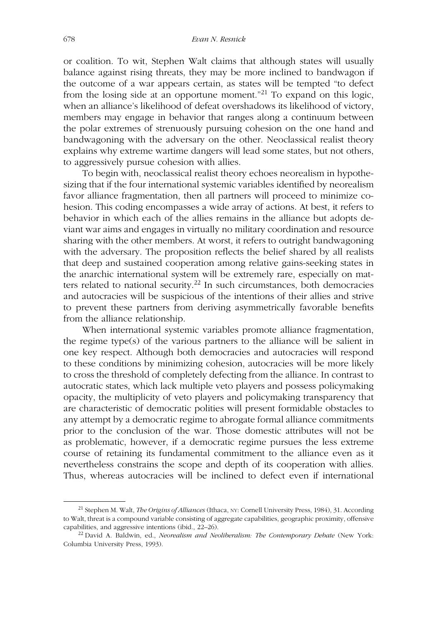or coalition. To wit, Stephen Walt claims that although states will usually balance against rising threats, they may be more inclined to bandwagon if the outcome of a war appears certain, as states will be tempted "to defect from the losing side at an opportune moment."<sup>21</sup> To expand on this logic, when an alliance's likelihood of defeat overshadows its likelihood of victory, members may engage in behavior that ranges along a continuum between the polar extremes of strenuously pursuing cohesion on the one hand and bandwagoning with the adversary on the other. Neoclassical realist theory explains why extreme wartime dangers will lead some states, but not others, to aggressively pursue cohesion with allies.

To begin with, neoclassical realist theory echoes neorealism in hypothesizing that if the four international systemic variables identified by neorealism favor alliance fragmentation, then all partners will proceed to minimize cohesion. This coding encompasses a wide array of actions. At best, it refers to behavior in which each of the allies remains in the alliance but adopts deviant war aims and engages in virtually no military coordination and resource sharing with the other members. At worst, it refers to outright bandwagoning with the adversary. The proposition reflects the belief shared by all realists that deep and sustained cooperation among relative gains-seeking states in the anarchic international system will be extremely rare, especially on matters related to national security.<sup>22</sup> In such circumstances, both democracies and autocracies will be suspicious of the intentions of their allies and strive to prevent these partners from deriving asymmetrically favorable benefits from the alliance relationship.

When international systemic variables promote alliance fragmentation, the regime type(s) of the various partners to the alliance will be salient in one key respect. Although both democracies and autocracies will respond to these conditions by minimizing cohesion, autocracies will be more likely to cross the threshold of completely defecting from the alliance. In contrast to autocratic states, which lack multiple veto players and possess policymaking opacity, the multiplicity of veto players and policymaking transparency that are characteristic of democratic polities will present formidable obstacles to any attempt by a democratic regime to abrogate formal alliance commitments prior to the conclusion of the war. Those domestic attributes will not be as problematic, however, if a democratic regime pursues the less extreme course of retaining its fundamental commitment to the alliance even as it nevertheless constrains the scope and depth of its cooperation with allies. Thus, whereas autocracies will be inclined to defect even if international

<sup>21</sup> Stephen M. Walt, *The Origins of Alliances* (Ithaca, NY: Cornell University Press, 1984), 31. According to Walt, threat is a compound variable consisting of aggregate capabilities, geographic proximity, offensive capabilities, and aggressive intentions (ibid., 22–26).

<sup>22</sup> David A. Baldwin, ed., *Neorealism and Neoliberalism: The Contemporary Debate* (New York: Columbia University Press, 1993).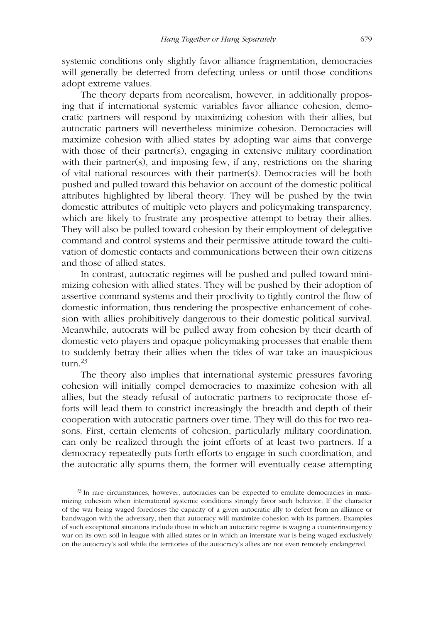systemic conditions only slightly favor alliance fragmentation, democracies will generally be deterred from defecting unless or until those conditions adopt extreme values.

The theory departs from neorealism, however, in additionally proposing that if international systemic variables favor alliance cohesion, democratic partners will respond by maximizing cohesion with their allies, but autocratic partners will nevertheless minimize cohesion. Democracies will maximize cohesion with allied states by adopting war aims that converge with those of their partner(s), engaging in extensive military coordination with their partner(s), and imposing few, if any, restrictions on the sharing of vital national resources with their partner(s). Democracies will be both pushed and pulled toward this behavior on account of the domestic political attributes highlighted by liberal theory. They will be pushed by the twin domestic attributes of multiple veto players and policymaking transparency, which are likely to frustrate any prospective attempt to betray their allies. They will also be pulled toward cohesion by their employment of delegative command and control systems and their permissive attitude toward the cultivation of domestic contacts and communications between their own citizens and those of allied states.

In contrast, autocratic regimes will be pushed and pulled toward minimizing cohesion with allied states. They will be pushed by their adoption of assertive command systems and their proclivity to tightly control the flow of domestic information, thus rendering the prospective enhancement of cohesion with allies prohibitively dangerous to their domestic political survival. Meanwhile, autocrats will be pulled away from cohesion by their dearth of domestic veto players and opaque policymaking processes that enable them to suddenly betray their allies when the tides of war take an inauspicious turn. $^{23}$ 

The theory also implies that international systemic pressures favoring cohesion will initially compel democracies to maximize cohesion with all allies, but the steady refusal of autocratic partners to reciprocate those efforts will lead them to constrict increasingly the breadth and depth of their cooperation with autocratic partners over time. They will do this for two reasons. First, certain elements of cohesion, particularly military coordination, can only be realized through the joint efforts of at least two partners. If a democracy repeatedly puts forth efforts to engage in such coordination, and the autocratic ally spurns them, the former will eventually cease attempting

<sup>&</sup>lt;sup>23</sup> In rare circumstances, however, autocracies can be expected to emulate democracies in maximizing cohesion when international systemic conditions strongly favor such behavior. If the character of the war being waged forecloses the capacity of a given autocratic ally to defect from an alliance or bandwagon with the adversary, then that autocracy will maximize cohesion with its partners. Examples of such exceptional situations include those in which an autocratic regime is waging a counterinsurgency war on its own soil in league with allied states or in which an interstate war is being waged exclusively on the autocracy's soil while the territories of the autocracy's allies are not even remotely endangered.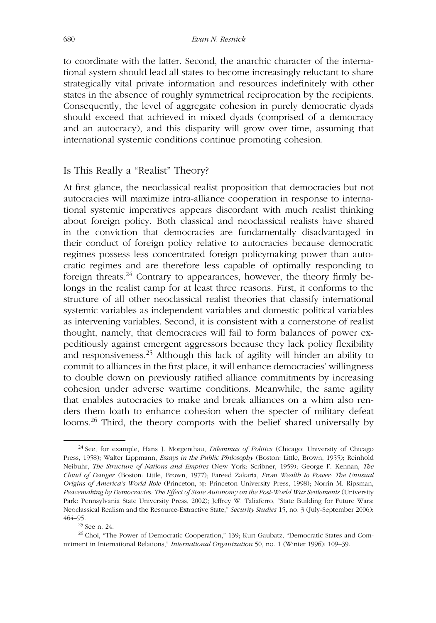to coordinate with the latter. Second, the anarchic character of the international system should lead all states to become increasingly reluctant to share strategically vital private information and resources indefinitely with other states in the absence of roughly symmetrical reciprocation by the recipients. Consequently, the level of aggregate cohesion in purely democratic dyads should exceed that achieved in mixed dyads (comprised of a democracy and an autocracy), and this disparity will grow over time, assuming that international systemic conditions continue promoting cohesion.

## Is This Really a "Realist" Theory?

At first glance, the neoclassical realist proposition that democracies but not autocracies will maximize intra-alliance cooperation in response to international systemic imperatives appears discordant with much realist thinking about foreign policy. Both classical and neoclassical realists have shared in the conviction that democracies are fundamentally disadvantaged in their conduct of foreign policy relative to autocracies because democratic regimes possess less concentrated foreign policymaking power than autocratic regimes and are therefore less capable of optimally responding to foreign threats.<sup>24</sup> Contrary to appearances, however, the theory firmly belongs in the realist camp for at least three reasons. First, it conforms to the structure of all other neoclassical realist theories that classify international systemic variables as independent variables and domestic political variables as intervening variables. Second, it is consistent with a cornerstone of realist thought, namely, that democracies will fail to form balances of power expeditiously against emergent aggressors because they lack policy flexibility and responsiveness.<sup>25</sup> Although this lack of agility will hinder an ability to commit to alliances in the first place, it will enhance democracies' willingness to double down on previously ratified alliance commitments by increasing cohesion under adverse wartime conditions. Meanwhile, the same agility that enables autocracies to make and break alliances on a whim also renders them loath to enhance cohesion when the specter of military defeat looms.<sup>26</sup> Third, the theory comports with the belief shared universally by

<sup>25</sup> See n. 24.

<sup>24</sup> See, for example, Hans J. Morgenthau, *Dilemmas of Politics* (Chicago: University of Chicago Press, 1958); Walter Lippmann, *Essays in the Public Philosophy* (Boston: Little, Brown, 1955); Reinhold Neibuhr, *The Structure of Nations and Empires* (New York: Scribner, 1959); George F. Kennan, *The Cloud of Danger* (Boston: Little, Brown, 1977); Fareed Zakaria, *From Wealth to Power: The Unusual Origins of America's World Role* (Princeton, NJ: Princeton University Press, 1998); Norrin M. Ripsman, Peacemaking by Democracies: The Effect of State Autonomy on the Post-World War Settlements (University Park: Pennsylvania State University Press, 2002); Jeffrey W. Taliaferro, "State Building for Future Wars: Neoclassical Realism and the Resource-Extractive State," *Security Studies* 15, no. 3 (July-September 2006): 464–95.

 $26$  Choi, "The Power of Democratic Cooperation," 139; Kurt Gaubatz, "Democratic States and Commitment in International Relations," *International Organization* 50, no. 1 (Winter 1996): 109–39.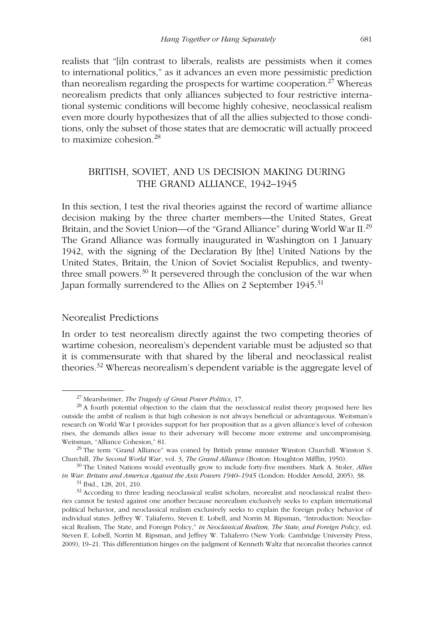realists that "[i]n contrast to liberals, realists are pessimists when it comes to international politics," as it advances an even more pessimistic prediction than neorealism regarding the prospects for wartime cooperation. $27$  Whereas neorealism predicts that only alliances subjected to four restrictive international systemic conditions will become highly cohesive, neoclassical realism even more dourly hypothesizes that of all the allies subjected to those conditions, only the subset of those states that are democratic will actually proceed to maximize cohesion.<sup>28</sup>

# BRITISH, SOVIET, AND US DECISION MAKING DURING THE GRAND ALLIANCE, 1942–1945

In this section, I test the rival theories against the record of wartime alliance decision making by the three charter members—the United States, Great Britain, and the Soviet Union—of the "Grand Alliance" during World War II.29 The Grand Alliance was formally inaugurated in Washington on 1 January 1942, with the signing of the Declaration By [the] United Nations by the United States, Britain, the Union of Soviet Socialist Republics, and twentythree small powers.<sup>30</sup> It persevered through the conclusion of the war when Japan formally surrendered to the Allies on 2 September 1945.<sup>31</sup>

#### Neorealist Predictions

In order to test neorealism directly against the two competing theories of wartime cohesion, neorealism's dependent variable must be adjusted so that it is commensurate with that shared by the liberal and neoclassical realist theories.<sup>32</sup> Whereas neorealism's dependent variable is the aggregate level of

<sup>27</sup> Mearsheimer, *The Tragedy of Great Power Politics*, 17.

<sup>&</sup>lt;sup>28</sup> A fourth potential objection to the claim that the neoclassical realist theory proposed here lies outside the ambit of realism is that high cohesion is not always beneficial or advantageous. Weitsman's research on World War I provides support for her proposition that as a given alliance's level of cohesion rises, the demands allies issue to their adversary will become more extreme and uncompromising. Weitsman, "Alliance Cohesion," 81.

<sup>29</sup> The term "Grand Alliance" was coined by British prime minister Winston Churchill. Winston S. Churchill, *The Second World War*, vol. 3, *The Grand Alliance* (Boston: Houghton Mifflin, 1950).

<sup>30</sup> The United Nations would eventually grow to include forty-five members. Mark A. Stoler, *Allies in War: Britain and America Against the Axis Powers 1940–1945* (London: Hodder Arnold, 2005), 38.

<sup>31</sup> Ibid., 128, 201, 210.

 $32$  According to three leading neoclassical realist scholars, neorealist and neoclassical realist theories cannot be tested against one another because neorealism exclusively seeks to explain international political behavior, and neoclassical realism exclusively seeks to explain the foreign policy behavior of individual states. Jeffrey W. Taliaferro, Steven E. Lobell, and Norrin M. Ripsman, "Introduction: Neoclassical Realism, The State, and Foreign Policy," *in Neoclassical Realism, The State, and Foreign Policy*, ed. Steven E. Lobell, Norrin M. Ripsman, and Jeffrey W. Taliaferro (New York: Cambridge University Press, 2009), 19–21. This differentiation hinges on the judgment of Kenneth Waltz that neorealist theories cannot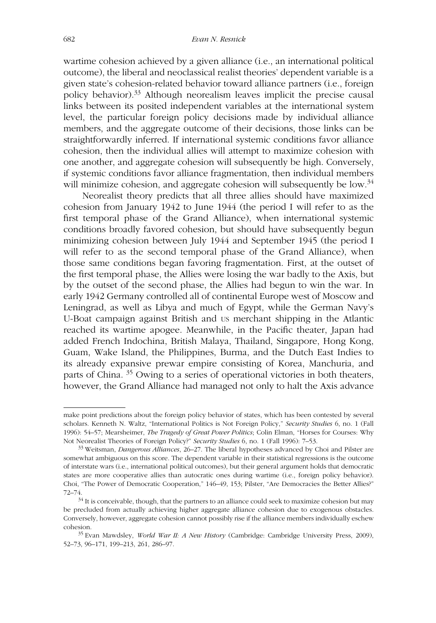wartime cohesion achieved by a given alliance (i.e., an international political outcome), the liberal and neoclassical realist theories' dependent variable is a given state's cohesion-related behavior toward alliance partners (i.e., foreign policy behavior).<sup>33</sup> Although neorealism leaves implicit the precise causal links between its posited independent variables at the international system level, the particular foreign policy decisions made by individual alliance members, and the aggregate outcome of their decisions, those links can be straightforwardly inferred. If international systemic conditions favor alliance cohesion, then the individual allies will attempt to maximize cohesion with one another, and aggregate cohesion will subsequently be high. Conversely, if systemic conditions favor alliance fragmentation, then individual members will minimize cohesion, and aggregate cohesion will subsequently be low.<sup>34</sup>

Neorealist theory predicts that all three allies should have maximized cohesion from January 1942 to June 1944 (the period I will refer to as the first temporal phase of the Grand Alliance), when international systemic conditions broadly favored cohesion, but should have subsequently begun minimizing cohesion between July 1944 and September 1945 (the period I will refer to as the second temporal phase of the Grand Alliance), when those same conditions began favoring fragmentation. First, at the outset of the first temporal phase, the Allies were losing the war badly to the Axis, but by the outset of the second phase, the Allies had begun to win the war. In early 1942 Germany controlled all of continental Europe west of Moscow and Leningrad, as well as Libya and much of Egypt, while the German Navy's U-Boat campaign against British and US merchant shipping in the Atlantic reached its wartime apogee. Meanwhile, in the Pacific theater, Japan had added French Indochina, British Malaya, Thailand, Singapore, Hong Kong, Guam, Wake Island, the Philippines, Burma, and the Dutch East Indies to its already expansive prewar empire consisting of Korea, Manchuria, and parts of China.  $35$  Owing to a series of operational victories in both theaters, however, the Grand Alliance had managed not only to halt the Axis advance

make point predictions about the foreign policy behavior of states, which has been contested by several scholars. Kenneth N. Waltz, "International Politics is Not Foreign Policy," *Security Studies* 6, no. 1 (Fall 1996): 54–57; Mearsheimer, *The Tragedy of Great Power Politics*; Colin Elman, "Horses for Courses: Why Not Neorealist Theories of Foreign Policy?" *Security Studies* 6, no. 1 (Fall 1996): 7–53.

<sup>33</sup> Weitsman, *Dangerous Alliances*, 26–27. The liberal hypotheses advanced by Choi and Pilster are somewhat ambiguous on this score. The dependent variable in their statistical regressions is the outcome of interstate wars (i.e., international political outcomes), but their general argument holds that democratic states are more cooperative allies than autocratic ones during wartime (i.e., foreign policy behavior). Choi, "The Power of Democratic Cooperation," 146–49, 153; Pilster, "Are Democracies the Better Allies?" 72–74.

 $34$  It is conceivable, though, that the partners to an alliance could seek to maximize cohesion but may be precluded from actually achieving higher aggregate alliance cohesion due to exogenous obstacles. Conversely, however, aggregate cohesion cannot possibly rise if the alliance members individually eschew cohesion.

<sup>35</sup> Evan Mawdsley, *World War II: A New History* (Cambridge: Cambridge University Press, 2009), 52–73, 96–171, 199–213, 261, 286–97.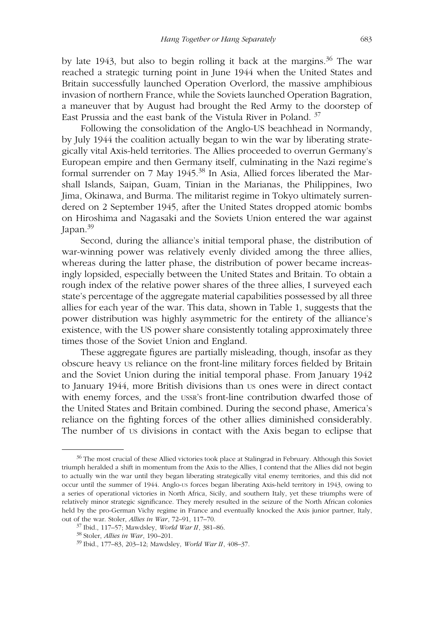by late 1943, but also to begin rolling it back at the margins.<sup>36</sup> The war reached a strategic turning point in June 1944 when the United States and Britain successfully launched Operation Overlord, the massive amphibious invasion of northern France, while the Soviets launched Operation Bagration, a maneuver that by August had brought the Red Army to the doorstep of East Prussia and the east bank of the Vistula River in Poland. <sup>37</sup>

Following the consolidation of the Anglo-US beachhead in Normandy, by July 1944 the coalition actually began to win the war by liberating strategically vital Axis-held territories. The Allies proceeded to overrun Germany's European empire and then Germany itself, culminating in the Nazi regime's formal surrender on 7 May 1945.<sup>38</sup> In Asia, Allied forces liberated the Marshall Islands, Saipan, Guam, Tinian in the Marianas, the Philippines, Iwo Jima, Okinawa, and Burma. The militarist regime in Tokyo ultimately surrendered on 2 September 1945, after the United States dropped atomic bombs on Hiroshima and Nagasaki and the Soviets Union entered the war against Japan. $39$ 

Second, during the alliance's initial temporal phase, the distribution of war-winning power was relatively evenly divided among the three allies, whereas during the latter phase, the distribution of power became increasingly lopsided, especially between the United States and Britain. To obtain a rough index of the relative power shares of the three allies, I surveyed each state's percentage of the aggregate material capabilities possessed by all three allies for each year of the war. This data, shown in Table 1, suggests that the power distribution was highly asymmetric for the entirety of the alliance's existence, with the US power share consistently totaling approximately three times those of the Soviet Union and England.

These aggregate figures are partially misleading, though, insofar as they obscure heavy US reliance on the front-line military forces fielded by Britain and the Soviet Union during the initial temporal phase. From January 1942 to January 1944, more British divisions than US ones were in direct contact with enemy forces, and the USSR'S front-line contribution dwarfed those of the United States and Britain combined. During the second phase, America's reliance on the fighting forces of the other allies diminished considerably. The number of US divisions in contact with the Axis began to eclipse that

<sup>&</sup>lt;sup>36</sup> The most crucial of these Allied victories took place at Stalingrad in February. Although this Soviet triumph heralded a shift in momentum from the Axis to the Allies, I contend that the Allies did not begin to actually win the war until they began liberating strategically vital enemy territories, and this did not occur until the summer of 1944. Anglo-US forces began liberating Axis-held territory in 1943, owing to a series of operational victories in North Africa, Sicily, and southern Italy, yet these triumphs were of relatively minor strategic significance. They merely resulted in the seizure of the North African colonies held by the pro-German Vichy regime in France and eventually knocked the Axis junior partner, Italy, out of the war. Stoler, *Allies in War*, 72–91, 117–70.

<sup>37</sup> Ibid., 117–57; Mawdsley, *World War II*, 381–86.

<sup>38</sup> Stoler, *Allies in War*, 190–201.

<sup>39</sup> Ibid., 177–83, 203–12; Mawdsley, *World War II*, 408–37.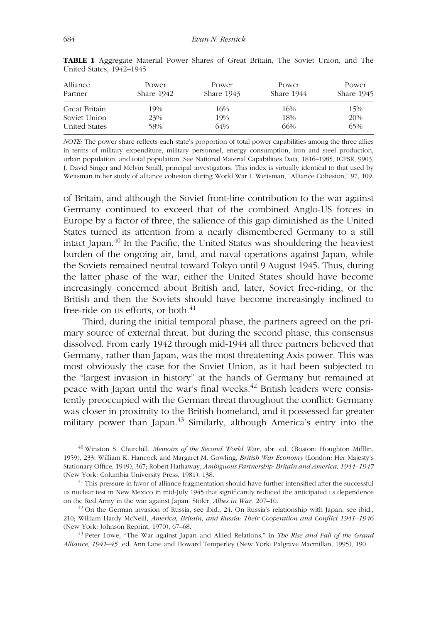| Alliance      | Power      | Power        | Power      | Power      |
|---------------|------------|--------------|------------|------------|
| Partner       | Share 1942 | Share $1943$ | Share 1944 | Share 1945 |
| Great Britain | 19%        | 16%          | 16%        | 15%        |
| Soviet Union  | 23%        | 19%          | 18%        | 20%        |
| United States | 58%        | 64%          | 66%        | 65%        |

**TABLE 1** Aggregate Material Power Shares of Great Britain, The Soviet Union, and The United States, 1942–1945

*NOTE:* The power share reflects each state's proportion of total power capabilities among the three allies in terms of military expenditure, military personnel, energy consumption, iron and steel production, urban population, and total population. See National Material Capabilities Data, 1816–1985, ICPSR, 9903, J. David Singer and Melvin Small, principal investigators. This index is virtually identical to that used by Weitsman in her study of alliance cohesion during World War I. Weitsman, "Alliance Cohesion," 97, 109.

of Britain, and although the Soviet front-line contribution to the war against Germany continued to exceed that of the combined Anglo-US forces in Europe by a factor of three, the salience of this gap diminished as the United States turned its attention from a nearly dismembered Germany to a still intact Japan.<sup>40</sup> In the Pacific, the United States was shouldering the heaviest burden of the ongoing air, land, and naval operations against Japan, while the Soviets remained neutral toward Tokyo until 9 August 1945. Thus, during the latter phase of the war, either the United States should have become increasingly concerned about British and, later, Soviet free-riding, or the British and then the Soviets should have become increasingly inclined to free-ride on us efforts, or both. $41$ 

Third, during the initial temporal phase, the partners agreed on the primary source of external threat, but during the second phase, this consensus dissolved. From early 1942 through mid-1944 all three partners believed that Germany, rather than Japan, was the most threatening Axis power. This was most obviously the case for the Soviet Union, as it had been subjected to the "largest invasion in history" at the hands of Germany but remained at peace with Japan until the war's final weeks.<sup>42</sup> British leaders were consistently preoccupied with the German threat throughout the conflict: Germany was closer in proximity to the British homeland, and it possessed far greater military power than Japan.<sup>43</sup> Similarly, although America's entry into the

<sup>40</sup> Winston S. Churchill, *Memoirs of the Second World War*, abr. ed. (Boston: Houghton Mifflin, 1959), 233; William K. Hancock and Margaret M. Gowling, *British War Economy* (London: Her Majesty's Stationary Office, 1949), 367; Robert Hathaway, *Ambiguous Partnership: Britain and America, 1944–1947* (New York: Columbia University Press, 1981), 138.

<sup>&</sup>lt;sup>41</sup> This pressure in favor of alliance fragmentation should have further intensified after the successful US nuclear test in New Mexico in mid-July 1945 that significantly reduced the anticipated US dependence on the Red Army in the war against Japan. Stoler, *Allies in War*, 207–10.

 $^{42}$  On the German invasion of Russia, see ibid., 24. On Russia's relationship with Japan, see ibid., 210; William Hardy McNeill, *America, Britain, and Russia: Their Cooperation and Conflict 1941–1946* (New York: Johnson Reprint, 1970), 67–68.

<sup>43</sup> Peter Lowe, "The War against Japan and Allied Relations," in *The Rise and Fall of the Grand Alliance, 1941–45*, ed. Ann Lane and Howard Temperley (New York: Palgrave Macmillan, 1995), 190.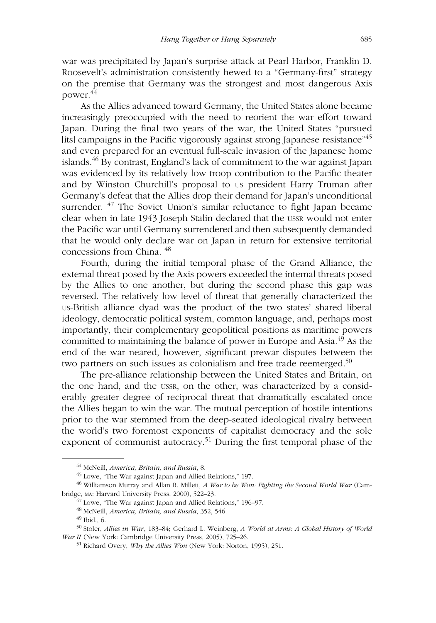war was precipitated by Japan's surprise attack at Pearl Harbor, Franklin D. Roosevelt's administration consistently hewed to a "Germany-first" strategy on the premise that Germany was the strongest and most dangerous Axis power.<sup>44</sup>

As the Allies advanced toward Germany, the United States alone became increasingly preoccupied with the need to reorient the war effort toward Japan. During the final two years of the war, the United States "pursued [its] campaigns in the Pacific vigorously against strong Japanese resistance<sup>"45</sup> and even prepared for an eventual full-scale invasion of the Japanese home islands.<sup>46</sup> By contrast, England's lack of commitment to the war against Japan was evidenced by its relatively low troop contribution to the Pacific theater and by Winston Churchill's proposal to US president Harry Truman after Germany's defeat that the Allies drop their demand for Japan's unconditional surrender.  $47$  The Soviet Union's similar reluctance to fight Japan became clear when in late 1943 Joseph Stalin declared that the USSR would not enter the Pacific war until Germany surrendered and then subsequently demanded that he would only declare war on Japan in return for extensive territorial concessions from China. <sup>48</sup>

Fourth, during the initial temporal phase of the Grand Alliance, the external threat posed by the Axis powers exceeded the internal threats posed by the Allies to one another, but during the second phase this gap was reversed. The relatively low level of threat that generally characterized the US-British alliance dyad was the product of the two states' shared liberal ideology, democratic political system, common language, and, perhaps most importantly, their complementary geopolitical positions as maritime powers committed to maintaining the balance of power in Europe and Asia.<sup>49</sup> As the end of the war neared, however, significant prewar disputes between the two partners on such issues as colonialism and free trade reemerged.<sup>50</sup>

The pre-alliance relationship between the United States and Britain, on the one hand, and the USSR, on the other, was characterized by a considerably greater degree of reciprocal threat that dramatically escalated once the Allies began to win the war. The mutual perception of hostile intentions prior to the war stemmed from the deep-seated ideological rivalry between the world's two foremost exponents of capitalist democracy and the sole exponent of communist autocracy.<sup>51</sup> During the first temporal phase of the

<sup>44</sup> McNeill, *America, Britain, and Russia*, 8.

<sup>45</sup> Lowe, "The War against Japan and Allied Relations," 197.

<sup>46</sup> Williamson Murray and Allan R. Millett, *A War to be Won: Fighting the Second World War* (Cambridge, MA: Harvard University Press, 2000), 522–23.

 $47$  Lowe, "The War against Japan and Allied Relations," 196–97.

<sup>48</sup> McNeill, *America, Britain, and Russia*, 352, 546.

 $49$  Ibid., 6.

<sup>50</sup> Stoler, *Allies in War*, 183–84; Gerhard L. Weinberg, *A World at Arms: A Global History of World War II* (New York: Cambridge University Press, 2005), 725-26.

<sup>51</sup> Richard Overy, *Why the Allies Won* (New York: Norton, 1995), 251.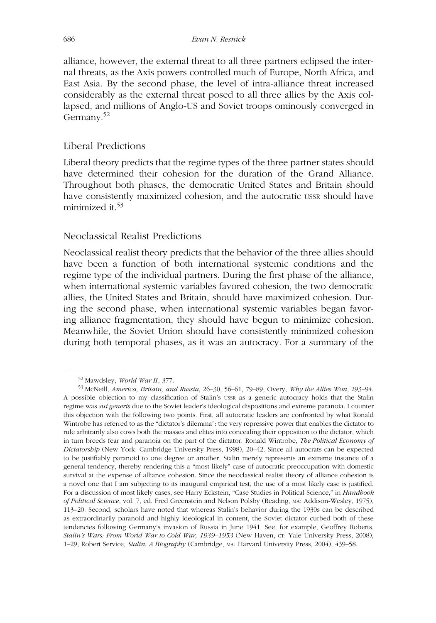alliance, however, the external threat to all three partners eclipsed the internal threats, as the Axis powers controlled much of Europe, North Africa, and East Asia. By the second phase, the level of intra-alliance threat increased considerably as the external threat posed to all three allies by the Axis collapsed, and millions of Anglo-US and Soviet troops ominously converged in Germany.<sup>52</sup>

#### Liberal Predictions

Liberal theory predicts that the regime types of the three partner states should have determined their cohesion for the duration of the Grand Alliance. Throughout both phases, the democratic United States and Britain should have consistently maximized cohesion, and the autocratic USSR should have minimized it.<sup>53</sup>

#### Neoclassical Realist Predictions

Neoclassical realist theory predicts that the behavior of the three allies should have been a function of both international systemic conditions and the regime type of the individual partners. During the first phase of the alliance, when international systemic variables favored cohesion, the two democratic allies, the United States and Britain, should have maximized cohesion. During the second phase, when international systemic variables began favoring alliance fragmentation, they should have begun to minimize cohesion. Meanwhile, the Soviet Union should have consistently minimized cohesion during both temporal phases, as it was an autocracy. For a summary of the

<sup>52</sup> Mawdsley, *World War II*, 377.

<sup>53</sup> McNeill, *America, Britain, and Russia*, 26–30, 56–61, 79–89; Overy, *Why the Allies Won*, 293–94. A possible objection to my classification of Stalin's USSR as a generic autocracy holds that the Stalin regime was *sui generis* due to the Soviet leader's ideological dispositions and extreme paranoia. I counter this objection with the following two points. First, all autocratic leaders are confronted by what Ronald Wintrobe has referred to as the "dictator's dilemma": the very repressive power that enables the dictator to rule arbitrarily also cows both the masses and elites into concealing their opposition to the dictator, which in turn breeds fear and paranoia on the part of the dictator. Ronald Wintrobe, *The Political Economy of Dictatorship* (New York: Cambridge University Press, 1998), 20–42. Since all autocrats can be expected to be justifiably paranoid to one degree or another, Stalin merely represents an extreme instance of a general tendency, thereby rendering this a "most likely" case of autocratic preoccupation with domestic survival at the expense of alliance cohesion. Since the neoclassical realist theory of alliance cohesion is a novel one that I am subjecting to its inaugural empirical test, the use of a most likely case is justified. For a discussion of most likely cases, see Harry Eckstein, "Case Studies in Political Science," in *Handbook of Political Science*, vol. 7, ed. Fred Greenstein and Nelson Polsby (Reading, MA: Addison-Wesley, 1975), 113–20. Second, scholars have noted that whereas Stalin's behavior during the 1930s can be described as extraordinarily paranoid and highly ideological in content, the Soviet dictator curbed both of these tendencies following Germany's invasion of Russia in June 1941. See, for example, Geoffrey Roberts, *Stalin's Wars: From World War to Cold War, 1939–1953* (New Haven, CT: Yale University Press, 2008), 1–29; Robert Service, *Stalin: A Biography* (Cambridge, MA: Harvard University Press, 2004), 439–58.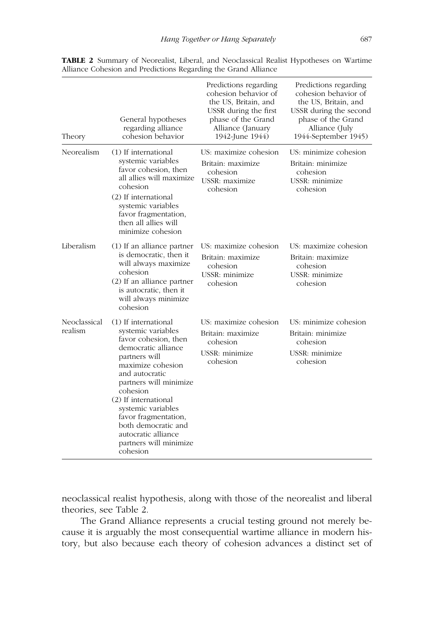| Theory                  | General hypotheses<br>regarding alliance<br>cohesion behavior                                                                                                                                                                                                                                                                                     | Predictions regarding<br>cohesion behavior of<br>the US, Britain, and<br>USSR during the first<br>phase of the Grand<br>Alliance (January<br>1942-June 1944) | Predictions regarding<br>cohesion behavior of<br>the US, Britain, and<br>USSR during the second<br>phase of the Grand<br>Alliance (July<br>1944-September 1945) |
|-------------------------|---------------------------------------------------------------------------------------------------------------------------------------------------------------------------------------------------------------------------------------------------------------------------------------------------------------------------------------------------|--------------------------------------------------------------------------------------------------------------------------------------------------------------|-----------------------------------------------------------------------------------------------------------------------------------------------------------------|
| Neorealism              | (1) If international<br>systemic variables<br>favor cohesion, then<br>all allies will maximize<br>cohesion<br>(2) If international<br>systemic variables<br>favor fragmentation,<br>then all allies will<br>minimize cohesion                                                                                                                     | US: maximize cohesion<br>Britain: maximize<br>cohesion<br>USSR: maximize<br>cohesion                                                                         | US: minimize cohesion<br>Britain: minimize<br>cohesion<br>USSR: minimize<br>cohesion                                                                            |
| Liberalism              | (1) If an alliance partner<br>is democratic, then it<br>will always maximize<br>cohesion<br>(2) If an alliance partner<br>is autocratic, then it<br>will always minimize<br>cohesion                                                                                                                                                              | US: maximize cohesion<br>Britain: maximize<br>cohesion<br>USSR: minimize<br>cohesion                                                                         | US: maximize cohesion<br>Britain: maximize<br>cohesion<br>USSR: minimize<br>cohesion                                                                            |
| Neoclassical<br>realism | (1) If international<br>systemic variables<br>favor cohesion, then<br>democratic alliance<br>partners will<br>maximize cohesion<br>and autocratic<br>partners will minimize<br>cohesion<br>(2) If international<br>systemic variables<br>favor fragmentation,<br>both democratic and<br>autocratic alliance<br>partners will minimize<br>cohesion | US: maximize cohesion<br>Britain: maximize<br>cohesion<br>USSR: minimize<br>cohesion                                                                         | US: minimize cohesion<br>Britain: minimize<br>cohesion<br>USSR: minimize<br>cohesion                                                                            |

**TABLE 2** Summary of Neorealist, Liberal, and Neoclassical Realist Hypotheses on Wartime Alliance Cohesion and Predictions Regarding the Grand Alliance

neoclassical realist hypothesis, along with those of the neorealist and liberal theories, see Table 2.

The Grand Alliance represents a crucial testing ground not merely because it is arguably the most consequential wartime alliance in modern history, but also because each theory of cohesion advances a distinct set of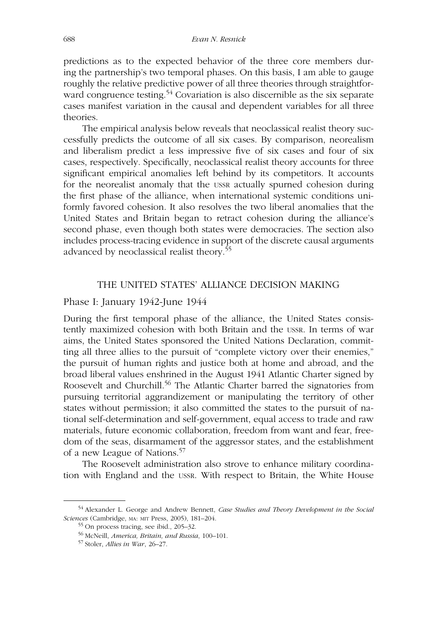predictions as to the expected behavior of the three core members during the partnership's two temporal phases. On this basis, I am able to gauge roughly the relative predictive power of all three theories through straightforward congruence testing.<sup>54</sup> Covariation is also discernible as the six separate cases manifest variation in the causal and dependent variables for all three theories.

The empirical analysis below reveals that neoclassical realist theory successfully predicts the outcome of all six cases. By comparison, neorealism and liberalism predict a less impressive five of six cases and four of six cases, respectively. Specifically, neoclassical realist theory accounts for three significant empirical anomalies left behind by its competitors. It accounts for the neorealist anomaly that the USSR actually spurned cohesion during the first phase of the alliance, when international systemic conditions uniformly favored cohesion. It also resolves the two liberal anomalies that the United States and Britain began to retract cohesion during the alliance's second phase, even though both states were democracies. The section also includes process-tracing evidence in support of the discrete causal arguments advanced by neoclassical realist theory.<sup>55</sup>

#### THE UNITED STATES' ALLIANCE DECISION MAKING

#### Phase I: January 1942-June 1944

During the first temporal phase of the alliance, the United States consistently maximized cohesion with both Britain and the USSR. In terms of war aims, the United States sponsored the United Nations Declaration, committing all three allies to the pursuit of "complete victory over their enemies," the pursuit of human rights and justice both at home and abroad, and the broad liberal values enshrined in the August 1941 Atlantic Charter signed by Roosevelt and Churchill.<sup>56</sup> The Atlantic Charter barred the signatories from pursuing territorial aggrandizement or manipulating the territory of other states without permission; it also committed the states to the pursuit of national self-determination and self-government, equal access to trade and raw materials, future economic collaboration, freedom from want and fear, freedom of the seas, disarmament of the aggressor states, and the establishment of a new League of Nations.57

The Roosevelt administration also strove to enhance military coordination with England and the USSR. With respect to Britain, the White House

<sup>54</sup> Alexander L. George and Andrew Bennett, *Case Studies and Theory Development in the Social Sciences* (Cambridge, MA: MIT Press, 2005), 181–204.

<sup>55</sup> On process tracing, see ibid., 205–32.

<sup>56</sup> McNeill, *America, Britain, and Russia*, 100–101.

<sup>57</sup> Stoler, *Allies in War*, 26–27.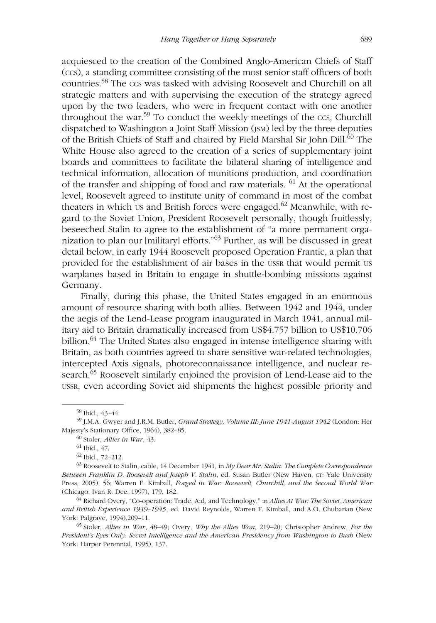acquiesced to the creation of the Combined Anglo-American Chiefs of Staff (CCS), a standing committee consisting of the most senior staff officers of both countries.<sup>58</sup> The CCS was tasked with advising Roosevelt and Churchill on all strategic matters and with supervising the execution of the strategy agreed upon by the two leaders, who were in frequent contact with one another throughout the war.<sup>59</sup> To conduct the weekly meetings of the ccs, Churchill dispatched to Washington a Joint Staff Mission (JSM) led by the three deputies of the British Chiefs of Staff and chaired by Field Marshal Sir John Dill.<sup>60</sup> The White House also agreed to the creation of a series of supplementary joint boards and committees to facilitate the bilateral sharing of intelligence and technical information, allocation of munitions production, and coordination of the transfer and shipping of food and raw materials. <sup>61</sup> At the operational level, Roosevelt agreed to institute unity of command in most of the combat theaters in which us and British forces were engaged.<sup>62</sup> Meanwhile, with regard to the Soviet Union, President Roosevelt personally, though fruitlessly, beseeched Stalin to agree to the establishment of "a more permanent organization to plan our [military] efforts."<sup>63</sup> Further, as will be discussed in great detail below, in early 1944 Roosevelt proposed Operation Frantic, a plan that provided for the establishment of air bases in the USSR that would permit US warplanes based in Britain to engage in shuttle-bombing missions against Germany.

Finally, during this phase, the United States engaged in an enormous amount of resource sharing with both allies. Between 1942 and 1944, under the aegis of the Lend-Lease program inaugurated in March 1941, annual military aid to Britain dramatically increased from US\$4.757 billion to US\$10.706 billion.<sup>64</sup> The United States also engaged in intense intelligence sharing with Britain, as both countries agreed to share sensitive war-related technologies, intercepted Axis signals, photoreconnaissance intelligence, and nuclear research.<sup>65</sup> Roosevelt similarly enjoined the provision of Lend-Lease aid to the USSR, even according Soviet aid shipments the highest possible priority and

<sup>58</sup> Ibid., 43–44.

<sup>59</sup> J.M.A. Gwyer and J.R.M. Butler, *Grand Strategy, Volume III: June 1941-August 1942* (London: Her Majesty's Stationary Office, 1964), 382–85.

<sup>60</sup> Stoler, *Allies in War*, 43.

<sup>61</sup> Ibid., 47.

<sup>62</sup> Ibid., 72–212.

<sup>63</sup> Roosevelt to Stalin, cable, 14 December 1941, in *My Dear Mr. Stalin: The Complete Correspondence Between Franklin D. Roosevelt and Joseph V. Stalin*, ed. Susan Butler (New Haven, CT: Yale University Press, 2005), 56; Warren F. Kimball, *Forged in War: Roosevelt, Churchill, and the Second World War* (Chicago: Ivan R. Dee, 1997), 179, 182.

<sup>64</sup> Richard Overy, "Co-operation: Trade, Aid, and Technology," in *Allies At War: The Soviet, American and British Experience 1939–1945*, ed. David Reynolds, Warren F. Kimball, and A.O. Chubarian (New York: Palgrave, 1994),209–11.

<sup>65</sup> Stoler, *Allies in War*, 48–49; Overy, *Why the Allies Won*, 219–20; Christopher Andrew, *For the President's Eyes Only: Secret Intelligence and the American Presidency from Washington to Bush* (New York: Harper Perennial, 1995), 137.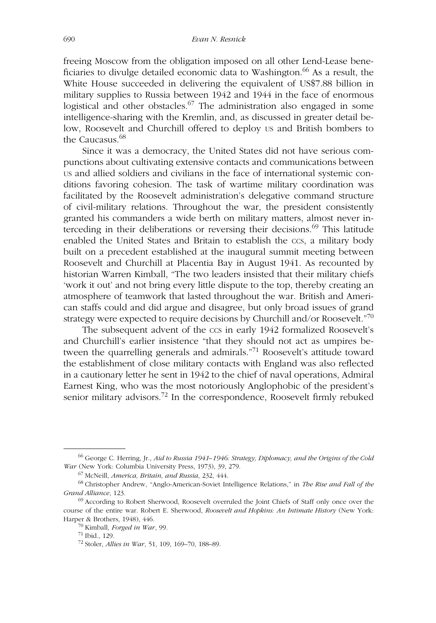freeing Moscow from the obligation imposed on all other Lend-Lease beneficiaries to divulge detailed economic data to Washington.<sup>66</sup> As a result, the White House succeeded in delivering the equivalent of US\$7.88 billion in military supplies to Russia between 1942 and 1944 in the face of enormous logistical and other obstacles.<sup>67</sup> The administration also engaged in some intelligence-sharing with the Kremlin, and, as discussed in greater detail below, Roosevelt and Churchill offered to deploy US and British bombers to the Caucasus.<sup>68</sup>

Since it was a democracy, the United States did not have serious compunctions about cultivating extensive contacts and communications between US and allied soldiers and civilians in the face of international systemic conditions favoring cohesion. The task of wartime military coordination was facilitated by the Roosevelt administration's delegative command structure of civil-military relations. Throughout the war, the president consistently granted his commanders a wide berth on military matters, almost never interceding in their deliberations or reversing their decisions.<sup> $69$ </sup> This latitude enabled the United States and Britain to establish the CCS, a military body built on a precedent established at the inaugural summit meeting between Roosevelt and Churchill at Placentia Bay in August 1941. As recounted by historian Warren Kimball, "The two leaders insisted that their military chiefs 'work it out' and not bring every little dispute to the top, thereby creating an atmosphere of teamwork that lasted throughout the war. British and American staffs could and did argue and disagree, but only broad issues of grand strategy were expected to require decisions by Churchill and/or Roosevelt."<sup>70</sup>

The subsequent advent of the ccs in early 1942 formalized Roosevelt's and Churchill's earlier insistence "that they should not act as umpires between the quarrelling generals and admirals."71 Roosevelt's attitude toward the establishment of close military contacts with England was also reflected in a cautionary letter he sent in 1942 to the chief of naval operations, Admiral Earnest King, who was the most notoriously Anglophobic of the president's senior military advisors.<sup>72</sup> In the correspondence, Roosevelt firmly rebuked

<sup>66</sup> George C. Herring, Jr., *Aid to Russia 1941–1946: Strategy, Diplomacy, and the Origins of the Cold War* (New York: Columbia University Press, 1973), 39, 279.

<sup>67</sup> McNeill, *America, Britain, and Russia*, 232, 444.

<sup>68</sup> Christopher Andrew, "Anglo-American-Soviet Intelligence Relations," in *The Rise and Fall of the Grand Alliance*, 123.

<sup>&</sup>lt;sup>69</sup> According to Robert Sherwood, Roosevelt overruled the Joint Chiefs of Staff only once over the course of the entire war. Robert E. Sherwood, *Roosevelt and Hopkins: An Intimate History* (New York: Harper & Brothers, 1948), 446.

<sup>70</sup> Kimball, *Forged in War*, 99.

<sup>71</sup> Ibid., 129.

<sup>72</sup> Stoler, *Allies in War*, 51, 109, 169–70, 188–89.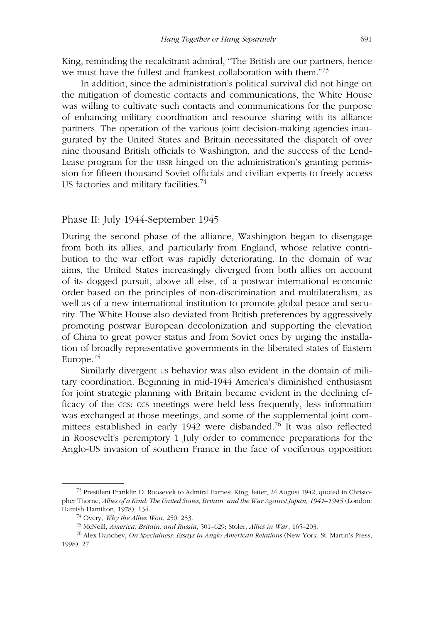King, reminding the recalcitrant admiral, "The British are our partners, hence we must have the fullest and frankest collaboration with them."<sup>73</sup>

In addition, since the administration's political survival did not hinge on the mitigation of domestic contacts and communications, the White House was willing to cultivate such contacts and communications for the purpose of enhancing military coordination and resource sharing with its alliance partners. The operation of the various joint decision-making agencies inaugurated by the United States and Britain necessitated the dispatch of over nine thousand British officials to Washington, and the success of the Lend-Lease program for the USSR hinged on the administration's granting permission for fifteen thousand Soviet officials and civilian experts to freely access US factories and military facilities.<sup>74</sup>

Phase II: July 1944-September 1945

During the second phase of the alliance, Washington began to disengage from both its allies, and particularly from England, whose relative contribution to the war effort was rapidly deteriorating. In the domain of war aims, the United States increasingly diverged from both allies on account of its dogged pursuit, above all else, of a postwar international economic order based on the principles of non-discrimination and multilateralism, as well as of a new international institution to promote global peace and security. The White House also deviated from British preferences by aggressively promoting postwar European decolonization and supporting the elevation of China to great power status and from Soviet ones by urging the installation of broadly representative governments in the liberated states of Eastern Europe.<sup>75</sup>

Similarly divergent US behavior was also evident in the domain of military coordination. Beginning in mid-1944 America's diminished enthusiasm for joint strategic planning with Britain became evident in the declining efficacy of the CCS: CCS meetings were held less frequently, less information was exchanged at those meetings, and some of the supplemental joint committees established in early 1942 were disbanded.<sup>76</sup> It was also reflected in Roosevelt's peremptory 1 July order to commence preparations for the Anglo-US invasion of southern France in the face of vociferous opposition

<sup>73</sup> President Franklin D. Roosevelt to Admiral Earnest King, letter, 24 August 1942, quoted in Christopher Thorne, *Allies of a Kind: The United States, Britain, and the War Against Japan, 1941–1945* (London: Hamish Hamilton, 1978), 134.

<sup>74</sup> Overy, *Why the Allies Won*, 250, 253.

<sup>75</sup> McNeill, *America, Britain, and Russia*, 501–629; Stoler, *Allies in War*, 165–203.

<sup>76</sup> Alex Danchev, *On Specialness: Essays in Anglo-American Relations* (New York: St. Martin's Press, 1998), 27.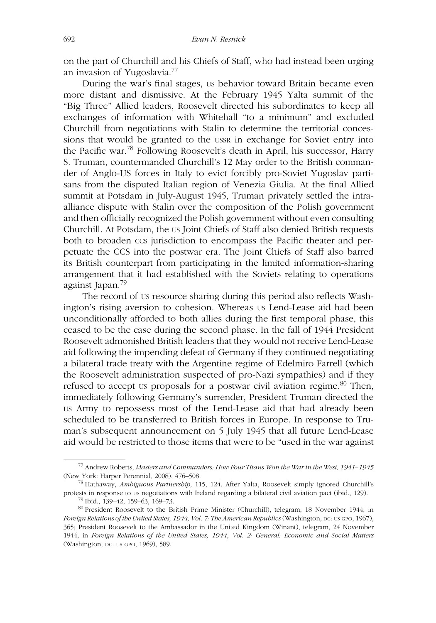on the part of Churchill and his Chiefs of Staff, who had instead been urging an invasion of Yugoslavia.<sup>77</sup>

During the war's final stages, US behavior toward Britain became even more distant and dismissive. At the February 1945 Yalta summit of the "Big Three" Allied leaders, Roosevelt directed his subordinates to keep all exchanges of information with Whitehall "to a minimum" and excluded Churchill from negotiations with Stalin to determine the territorial concessions that would be granted to the USSR in exchange for Soviet entry into the Pacific war.<sup>78</sup> Following Roosevelt's death in April, his successor, Harry S. Truman, countermanded Churchill's 12 May order to the British commander of Anglo-US forces in Italy to evict forcibly pro-Soviet Yugoslav partisans from the disputed Italian region of Venezia Giulia. At the final Allied summit at Potsdam in July-August 1945, Truman privately settled the intraalliance dispute with Stalin over the composition of the Polish government and then officially recognized the Polish government without even consulting Churchill. At Potsdam, the US Joint Chiefs of Staff also denied British requests both to broaden CCS jurisdiction to encompass the Pacific theater and perpetuate the CCS into the postwar era. The Joint Chiefs of Staff also barred its British counterpart from participating in the limited information-sharing arrangement that it had established with the Soviets relating to operations against Japan.<sup>79</sup>

The record of US resource sharing during this period also reflects Washington's rising aversion to cohesion. Whereas US Lend-Lease aid had been unconditionally afforded to both allies during the first temporal phase, this ceased to be the case during the second phase. In the fall of 1944 President Roosevelt admonished British leaders that they would not receive Lend-Lease aid following the impending defeat of Germany if they continued negotiating a bilateral trade treaty with the Argentine regime of Edelmiro Farrell (which the Roosevelt administration suspected of pro-Nazi sympathies) and if they refused to accept us proposals for a postwar civil aviation regime.<sup>80</sup> Then, immediately following Germany's surrender, President Truman directed the US Army to repossess most of the Lend-Lease aid that had already been scheduled to be transferred to British forces in Europe. In response to Truman's subsequent announcement on 5 July 1945 that all future Lend-Lease aid would be restricted to those items that were to be "used in the war against

<sup>77</sup> Andrew Roberts, *Masters and Commanders: How Four Titans Won the War in the West, 1941–1945* (New York: Harper Perennial, 2008), 476–508.

<sup>78</sup> Hathaway, *Ambiguous Partnership*, 115, 124. After Yalta, Roosevelt simply ignored Churchill's protests in response to US negotiations with Ireland regarding a bilateral civil aviation pact (ibid., 129). <sup>79</sup> Ibid., 139–42, 159–63, 169–73.

<sup>80</sup> President Roosevelt to the British Prime Minister (Churchill), telegram, 18 November 1944, in *Foreign Relations of the United States, 1944, Vol. 7: The American Republics* (Washington, DC: US GPO, 1967), 365; President Roosevelt to the Ambassador in the United Kingdom (Winant), telegram, 24 November 1944, in *Foreign Relations of the United States, 1944*, *Vol. 2: General: Economic and Social Matters* (Washington, DC: US GPO, 1969), 589.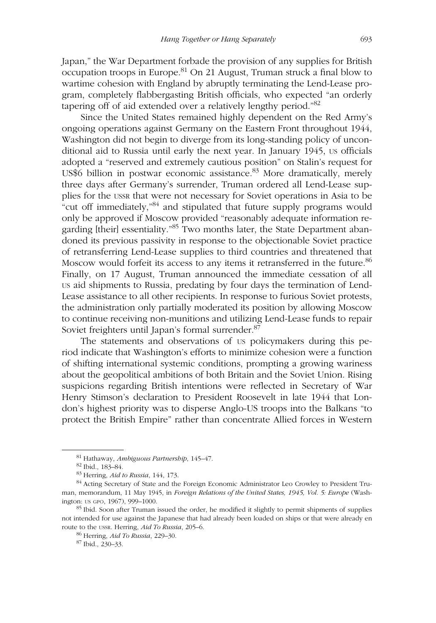Japan," the War Department forbade the provision of any supplies for British occupation troops in Europe.<sup>81</sup> On 21 August, Truman struck a final blow to wartime cohesion with England by abruptly terminating the Lend-Lease program, completely flabbergasting British officials, who expected "an orderly tapering off of aid extended over a relatively lengthy period."82

Since the United States remained highly dependent on the Red Army's ongoing operations against Germany on the Eastern Front throughout 1944, Washington did not begin to diverge from its long-standing policy of unconditional aid to Russia until early the next year. In January 1945, US officials adopted a "reserved and extremely cautious position" on Stalin's request for US\$6 billion in postwar economic assistance. $83$  More dramatically, merely three days after Germany's surrender, Truman ordered all Lend-Lease supplies for the USSR that were not necessary for Soviet operations in Asia to be "cut off immediately,"<sup>84</sup> and stipulated that future supply programs would only be approved if Moscow provided "reasonably adequate information regarding [their] essentiality."<sup>85</sup> Two months later, the State Department abandoned its previous passivity in response to the objectionable Soviet practice of retransferring Lend-Lease supplies to third countries and threatened that Moscow would forfeit its access to any items it retransferred in the future.<sup>86</sup> Finally, on 17 August, Truman announced the immediate cessation of all US aid shipments to Russia, predating by four days the termination of Lend-Lease assistance to all other recipients. In response to furious Soviet protests, the administration only partially moderated its position by allowing Moscow to continue receiving non-munitions and utilizing Lend-Lease funds to repair Soviet freighters until Japan's formal surrender.<sup>87</sup>

The statements and observations of US policymakers during this period indicate that Washington's efforts to minimize cohesion were a function of shifting international systemic conditions, prompting a growing wariness about the geopolitical ambitions of both Britain and the Soviet Union. Rising suspicions regarding British intentions were reflected in Secretary of War Henry Stimson's declaration to President Roosevelt in late 1944 that London's highest priority was to disperse Anglo-US troops into the Balkans "to protect the British Empire" rather than concentrate Allied forces in Western

<sup>87</sup> Ibid., 230–33.

<sup>81</sup> Hathaway, *Ambiguous Partnership*, 145–47.

<sup>82</sup> Ibid., 183–84.

<sup>83</sup> Herring, *Aid to Russia*, 144, 173.

<sup>&</sup>lt;sup>84</sup> Acting Secretary of State and the Foreign Economic Administrator Leo Crowley to President Truman, memorandum, 11 May 1945, in *Foreign Relations of the United States, 1945, Vol. 5: Europe* (Washington: US GPO, 1967), 999–1000.

<sup>&</sup>lt;sup>85</sup> Ibid. Soon after Truman issued the order, he modified it slightly to permit shipments of supplies not intended for use against the Japanese that had already been loaded on ships or that were already en route to the USSR. Herring, *Aid To Russia*, 205–6.

<sup>86</sup> Herring, *Aid To Russia*, 229–30.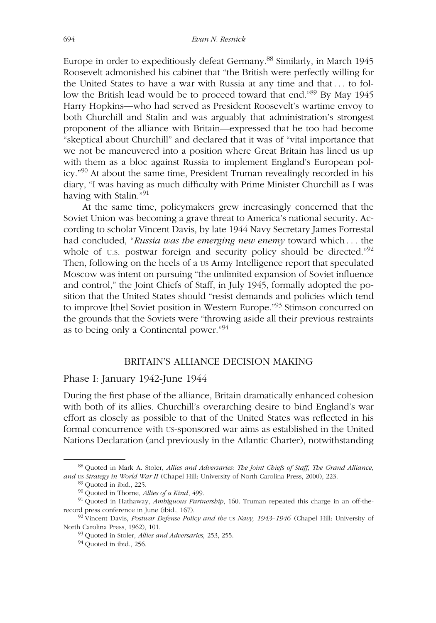Europe in order to expeditiously defeat Germany.<sup>88</sup> Similarly, in March 1945 Roosevelt admonished his cabinet that "the British were perfectly willing for the United States to have a war with Russia at any time and that . . . to follow the British lead would be to proceed toward that end."<sup>89</sup> By May 1945 Harry Hopkins—who had served as President Roosevelt's wartime envoy to both Churchill and Stalin and was arguably that administration's strongest proponent of the alliance with Britain—expressed that he too had become "skeptical about Churchill" and declared that it was of "vital importance that we not be maneuvered into a position where Great Britain has lined us up with them as a bloc against Russia to implement England's European policy."<sup>90</sup> At about the same time, President Truman revealingly recorded in his diary, "I was having as much difficulty with Prime Minister Churchill as I was having with Stalin."91

At the same time, policymakers grew increasingly concerned that the Soviet Union was becoming a grave threat to America's national security. According to scholar Vincent Davis, by late 1944 Navy Secretary James Forrestal had concluded, "*Russia was the emerging new enemy* toward which . . . the whole of U.S. postwar foreign and security policy should be directed."<sup>92</sup> Then, following on the heels of a us Army Intelligence report that speculated Moscow was intent on pursuing "the unlimited expansion of Soviet influence and control," the Joint Chiefs of Staff, in July 1945, formally adopted the position that the United States should "resist demands and policies which tend to improve [the] Soviet position in Western Europe."<sup>93</sup> Stimson concurred on the grounds that the Soviets were "throwing aside all their previous restraints as to being only a Continental power."<sup>94</sup>

# BRITAIN'S ALLIANCE DECISION MAKING

#### Phase I: January 1942-June 1944

During the first phase of the alliance, Britain dramatically enhanced cohesion with both of its allies. Churchill's overarching desire to bind England's war effort as closely as possible to that of the United States was reflected in his formal concurrence with US-sponsored war aims as established in the United Nations Declaration (and previously in the Atlantic Charter), notwithstanding

<sup>88</sup> Quoted in Mark A. Stoler, *Allies and Adversaries: The Joint Chiefs of Staff, The Grand Alliance, and* US *Strategy in World War II* (Chapel Hill: University of North Carolina Press, 2000), 223.

<sup>89</sup> Quoted in ibid., 225.

<sup>90</sup> Quoted in Thorne, *Allies of a Kind*, 499.

<sup>91</sup> Quoted in Hathaway, *Ambiguous Partnership*, 160. Truman repeated this charge in an off-therecord press conference in June (ibid., 167).

<sup>&</sup>lt;sup>92</sup> Vincent Davis, *Postwar Defense Policy and the* us *Navy*, 1943–1946 (Chapel Hill: University of North Carolina Press, 1962), 101.

<sup>93</sup> Quoted in Stoler, *Allies and Adversaries,* 253, 255.

<sup>&</sup>lt;sup>94</sup> Quoted in ibid., 256.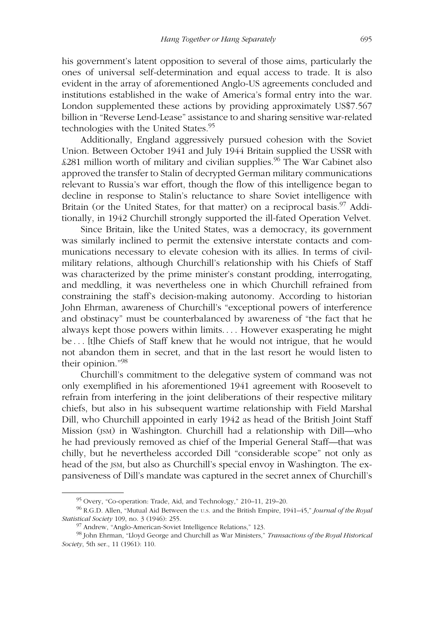his government's latent opposition to several of those aims, particularly the ones of universal self-determination and equal access to trade. It is also evident in the array of aforementioned Anglo-US agreements concluded and institutions established in the wake of America's formal entry into the war. London supplemented these actions by providing approximately US\$7.567 billion in "Reverse Lend-Lease" assistance to and sharing sensitive war-related technologies with the United States.<sup>95</sup>

Additionally, England aggressively pursued cohesion with the Soviet Union. Between October 1941 and July 1944 Britain supplied the USSR with  $\text{\pounds}281$  million worth of military and civilian supplies. <sup>96</sup> The War Cabinet also approved the transfer to Stalin of decrypted German military communications relevant to Russia's war effort, though the flow of this intelligence began to decline in response to Stalin's reluctance to share Soviet intelligence with Britain (or the United States, for that matter) on a reciprocal basis.<sup>97</sup> Additionally, in 1942 Churchill strongly supported the ill-fated Operation Velvet.

Since Britain, like the United States, was a democracy, its government was similarly inclined to permit the extensive interstate contacts and communications necessary to elevate cohesion with its allies. In terms of civilmilitary relations, although Churchill's relationship with his Chiefs of Staff was characterized by the prime minister's constant prodding, interrogating, and meddling, it was nevertheless one in which Churchill refrained from constraining the staff's decision-making autonomy. According to historian John Ehrman, awareness of Churchill's "exceptional powers of interference and obstinacy" must be counterbalanced by awareness of "the fact that he always kept those powers within limits. . . . However exasperating he might be . . . [t]he Chiefs of Staff knew that he would not intrigue, that he would not abandon them in secret, and that in the last resort he would listen to their opinion."<sup>98</sup>

Churchill's commitment to the delegative system of command was not only exemplified in his aforementioned 1941 agreement with Roosevelt to refrain from interfering in the joint deliberations of their respective military chiefs, but also in his subsequent wartime relationship with Field Marshal Dill, who Churchill appointed in early 1942 as head of the British Joint Staff Mission (JSM) in Washington. Churchill had a relationship with Dill—who he had previously removed as chief of the Imperial General Staff—that was chilly, but he nevertheless accorded Dill "considerable scope" not only as head of the JSM, but also as Churchill's special envoy in Washington. The expansiveness of Dill's mandate was captured in the secret annex of Churchill's

<sup>95</sup> Overy, "Co-operation: Trade, Aid, and Technology," 210–11, 219–20.

<sup>96</sup> R.G.D. Allen, "Mutual Aid Between the U.S. and the British Empire, 1941–45," *Journal of the Royal Statistical Society* 109, no. 3 (1946): 255.

<sup>97</sup> Andrew, "Anglo-American-Soviet Intelligence Relations," 123.

<sup>98</sup> John Ehrman, "Lloyd George and Churchill as War Ministers," *Transactions of the Royal Historical Society*, 5th ser., 11 (1961): 110.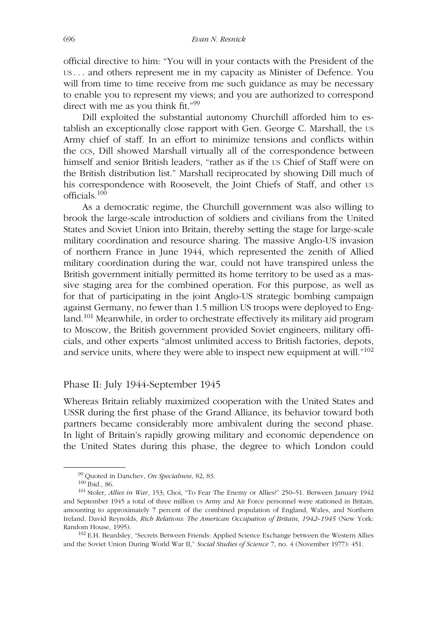official directive to him: "You will in your contacts with the President of the US . . . and others represent me in my capacity as Minister of Defence. You will from time to time receive from me such guidance as may be necessary to enable you to represent my views; and you are authorized to correspond direct with me as you think fit."<sup>99</sup>

Dill exploited the substantial autonomy Churchill afforded him to establish an exceptionally close rapport with Gen. George C. Marshall, the us Army chief of staff. In an effort to minimize tensions and conflicts within the CCS, Dill showed Marshall virtually all of the correspondence between himself and senior British leaders, "rather as if the US Chief of Staff were on the British distribution list." Marshall reciprocated by showing Dill much of his correspondence with Roosevelt, the Joint Chiefs of Staff, and other US officials.<sup>100</sup>

As a democratic regime, the Churchill government was also willing to brook the large-scale introduction of soldiers and civilians from the United States and Soviet Union into Britain, thereby setting the stage for large-scale military coordination and resource sharing. The massive Anglo-US invasion of northern France in June 1944, which represented the zenith of Allied military coordination during the war, could not have transpired unless the British government initially permitted its home territory to be used as a massive staging area for the combined operation. For this purpose, as well as for that of participating in the joint Anglo-US strategic bombing campaign against Germany, no fewer than 1.5 million US troops were deployed to England.<sup>101</sup> Meanwhile, in order to orchestrate effectively its military aid program to Moscow, the British government provided Soviet engineers, military officials, and other experts "almost unlimited access to British factories, depots, and service units, where they were able to inspect new equipment at will.<sup>"102</sup>

#### Phase II: July 1944-September 1945

Whereas Britain reliably maximized cooperation with the United States and USSR during the first phase of the Grand Alliance, its behavior toward both partners became considerably more ambivalent during the second phase. In light of Britain's rapidly growing military and economic dependence on the United States during this phase, the degree to which London could

<sup>99</sup> Quoted in Danchev, *On Specialness*, 82, 83.

<sup>100</sup> Ibid., 86.

<sup>&</sup>lt;sup>101</sup> Stoler, *Allies in War*, 153; Choi, "To Fear The Enemy or Allies?" 250-51. Between January 1942 and September 1945 a total of three million US Army and Air Force personnel were stationed in Britain, amounting to approximately 7 percent of the combined population of England, Wales, and Northern Ireland. David Reynolds, *Rich Relations: The American Occupation of Britain, 1942–1945* (New York: Random House, 1995).

<sup>&</sup>lt;sup>102</sup> E.H. Beardsley, "Secrets Between Friends: Applied Science Exchange between the Western Allies and the Soviet Union During World War II," *Social Studies of Science* 7, no. 4 (November 1977): 451.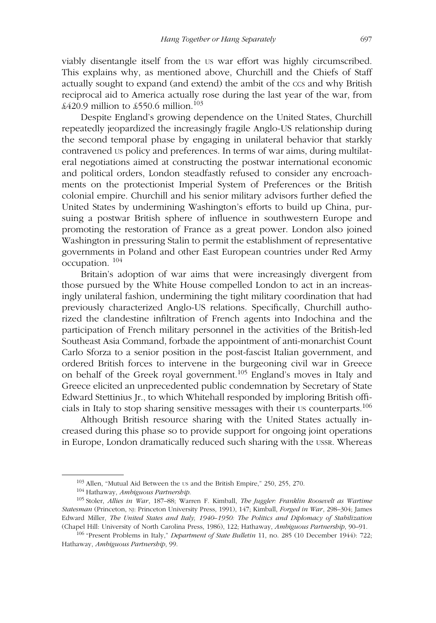viably disentangle itself from the US war effort was highly circumscribed. This explains why, as mentioned above, Churchill and the Chiefs of Staff actually sought to expand (and extend) the ambit of the ccs and why British reciprocal aid to America actually rose during the last year of the war, from  $\text{\pounds}420.9$  million to  $\text{\pounds}550.6$  million.<sup>103</sup>

Despite England's growing dependence on the United States, Churchill repeatedly jeopardized the increasingly fragile Anglo-US relationship during the second temporal phase by engaging in unilateral behavior that starkly contravened US policy and preferences. In terms of war aims, during multilateral negotiations aimed at constructing the postwar international economic and political orders, London steadfastly refused to consider any encroachments on the protectionist Imperial System of Preferences or the British colonial empire. Churchill and his senior military advisors further defied the United States by undermining Washington's efforts to build up China, pursuing a postwar British sphere of influence in southwestern Europe and promoting the restoration of France as a great power. London also joined Washington in pressuring Stalin to permit the establishment of representative governments in Poland and other East European countries under Red Army occupation. <sup>104</sup>

Britain's adoption of war aims that were increasingly divergent from those pursued by the White House compelled London to act in an increasingly unilateral fashion, undermining the tight military coordination that had previously characterized Anglo-US relations. Specifically, Churchill authorized the clandestine infiltration of French agents into Indochina and the participation of French military personnel in the activities of the British-led Southeast Asia Command, forbade the appointment of anti-monarchist Count Carlo Sforza to a senior position in the post-fascist Italian government, and ordered British forces to intervene in the burgeoning civil war in Greece on behalf of the Greek royal government.<sup>105</sup> England's moves in Italy and Greece elicited an unprecedented public condemnation by Secretary of State Edward Stettinius Jr., to which Whitehall responded by imploring British officials in Italy to stop sharing sensitive messages with their us counterparts.<sup>106</sup>

Although British resource sharing with the United States actually increased during this phase so to provide support for ongoing joint operations in Europe, London dramatically reduced such sharing with the USSR. Whereas

<sup>103</sup> Allen, "Mutual Aid Between the US and the British Empire," 250, 255, 270.

<sup>104</sup> Hathaway, *Ambiguous Partnership*.

<sup>105</sup> Stoler, *Allies in War*, 187–88; Warren F. Kimball, *The Juggler: Franklin Roosevelt as Wartime Statesman* (Princeton, NJ: Princeton University Press, 1991), 147; Kimball, *Forged in War*, 298–304; James Edward Miller, *The United States and Italy, 1940–1950: The Politics and Diplomacy of Stabilization* (Chapel Hill: University of North Carolina Press, 1986), 122; Hathaway, *Ambiguous Partnership*, 90–91.

<sup>106</sup> "Present Problems in Italy," *Department of State Bulletin* 11, no. 285 (10 December 1944): 722; Hathaway, *Ambiguous Partnership*, 99.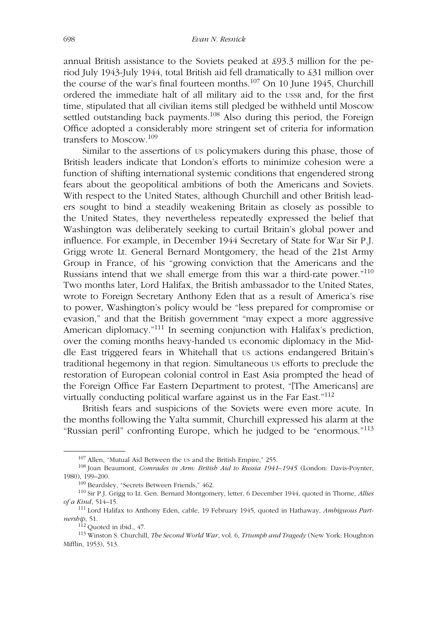annual British assistance to the Soviets peaked at £93.3 million for the period July 1943-July 1944, total British aid fell dramatically to £31 million over the course of the war's final fourteen months.<sup>107</sup> On 10 June 1945, Churchill ordered the immediate halt of all military aid to the USSR and, for the first time, stipulated that all civilian items still pledged be withheld until Moscow settled outstanding back payments.<sup>108</sup> Also during this period, the Foreign Office adopted a considerably more stringent set of criteria for information transfers to Moscow.109

Similar to the assertions of US policymakers during this phase, those of British leaders indicate that London's efforts to minimize cohesion were a function of shifting international systemic conditions that engendered strong fears about the geopolitical ambitions of both the Americans and Soviets. With respect to the United States, although Churchill and other British leaders sought to bind a steadily weakening Britain as closely as possible to the United States, they nevertheless repeatedly expressed the belief that Washington was deliberately seeking to curtail Britain's global power and influence. For example, in December 1944 Secretary of State for War Sir P.J. Grigg wrote Lt. General Bernard Montgomery, the head of the 21st Army Group in France, of his "growing conviction that the Americans and the Russians intend that we shall emerge from this war a third-rate power."<sup>110</sup> Two months later, Lord Halifax, the British ambassador to the United States, wrote to Foreign Secretary Anthony Eden that as a result of America's rise to power, Washington's policy would be "less prepared for compromise or evasion," and that the British government "may expect a more aggressive American diplomacy."<sup>111</sup> In seeming conjunction with Halifax's prediction, over the coming months heavy-handed US economic diplomacy in the Middle East triggered fears in Whitehall that US actions endangered Britain's traditional hegemony in that region. Simultaneous US efforts to preclude the restoration of European colonial control in East Asia prompted the head of the Foreign Office Far Eastern Department to protest, "[The Americans] are virtually conducting political warfare against us in the Far East."<sup>112</sup>

British fears and suspicions of the Soviets were even more acute. In the months following the Yalta summit, Churchill expressed his alarm at the "Russian peril" confronting Europe, which he judged to be "enormous."113

<sup>&</sup>lt;sup>107</sup> Allen, "Mutual Aid Between the us and the British Empire," 255.

<sup>108</sup> Joan Beaumont, *Comrades in Arm: British Aid to Russia 1941–1945* (London: Davis-Poynter, 1980), 199–200.

<sup>109</sup> Beardsley, "Secrets Between Friends," 462.

<sup>110</sup> Sir P.J. Grigg to Lt. Gen. Bernard Montgomery, letter, 6 December 1944, quoted in Thorne, *Allies of a Kind*, 514–15.

<sup>111</sup> Lord Halifax to Anthony Eden, cable, 19 February 1945, quoted in Hathaway, *Ambiguous Partnership*, 51.

 $112$  Quoted in ibid., 47.

<sup>113</sup> Winston S. Churchill, *The Second World War*, vol. 6, *Triumph and Tragedy* (New York: Houghton Mifflin, 1953), 513.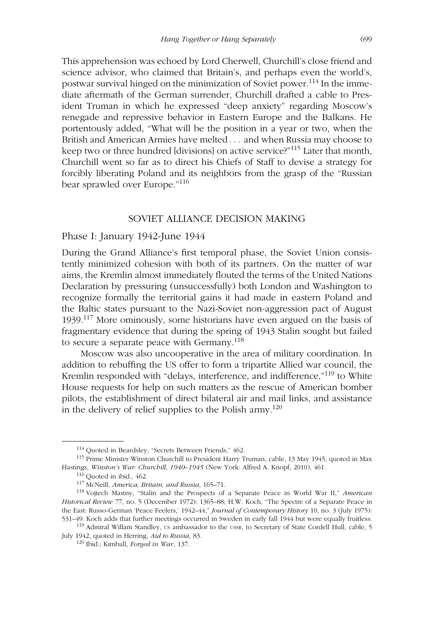This apprehension was echoed by Lord Cherwell, Churchill's close friend and science advisor, who claimed that Britain's, and perhaps even the world's, postwar survival hinged on the minimization of Soviet power.<sup>114</sup> In the immediate aftermath of the German surrender, Churchill drafted a cable to President Truman in which he expressed "deep anxiety" regarding Moscow's renegade and repressive behavior in Eastern Europe and the Balkans. He portentously added, "What will be the position in a year or two, when the British and American Armies have melted . . . and when Russia may choose to keep two or three hundred [divisions] on active service?"<sup>115</sup> Later that month, Churchill went so far as to direct his Chiefs of Staff to devise a strategy for forcibly liberating Poland and its neighbors from the grasp of the "Russian bear sprawled over Europe."<sup>116</sup>

#### SOVIET ALLIANCE DECISION MAKING

#### Phase I: January 1942-June 1944

During the Grand Alliance's first temporal phase, the Soviet Union consistently minimized cohesion with both of its partners. On the matter of war aims, the Kremlin almost immediately flouted the terms of the United Nations Declaration by pressuring (unsuccessfully) both London and Washington to recognize formally the territorial gains it had made in eastern Poland and the Baltic states pursuant to the Nazi-Soviet non-aggression pact of August 1939.<sup>117</sup> More ominously, some historians have even argued on the basis of fragmentary evidence that during the spring of 1943 Stalin sought but failed to secure a separate peace with Germany.<sup>118</sup>

Moscow was also uncooperative in the area of military coordination. In addition to rebuffing the US offer to form a tripartite Allied war council, the Kremlin responded with "delays, interference, and indifference,"<sup>119</sup> to White House requests for help on such matters as the rescue of American bomber pilots, the establishment of direct bilateral air and mail links, and assistance in the delivery of relief supplies to the Polish army.<sup>120</sup>

<sup>114</sup> Quoted in Beardsley, "Secrets Between Friends," 462.

<sup>115</sup> Prime Minister Winston Churchill to President Harry Truman, cable, 13 May 1945, quoted in Max Hastings, *Winston's War: Churchill, 1940–1945* (New York: Alfred A. Knopf, 2010), 461.

 $116$  Quoted in ibid., 462.

<sup>117</sup> McNeill, *America, Britain, and Russia*, 165–71.

<sup>118</sup> Vojtech Mastny, "Stalin and the Prospects of a Separate Peace in World War II," *American Historical Review* 77, no. 5 (December 1972): 1365–88; H.W. Koch, "The Spectre of a Separate Peace in the East: Russo-German 'Peace Feelers,' 1942–44," *Journal of Contemporary History* 10, no. 3 (July 1975): 531–49. Koch adds that further meetings occurred in Sweden in early fall 1944 but were equally fruitless.

<sup>&</sup>lt;sup>119</sup> Admiral Willam Standley, us ambassador to the ussr, to Secretary of State Cordell Hull, cable, 5 July 1942, quoted in Herring, *Aid to Russia*, 83.

<sup>120</sup> Ibid.; Kimball, *Forged in War*, 137.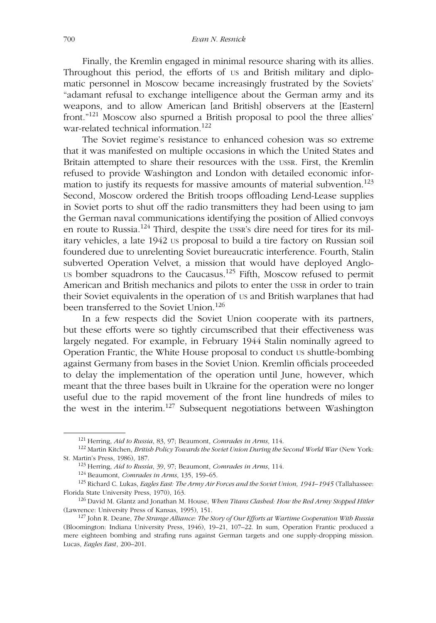Finally, the Kremlin engaged in minimal resource sharing with its allies. Throughout this period, the efforts of US and British military and diplomatic personnel in Moscow became increasingly frustrated by the Soviets' "adamant refusal to exchange intelligence about the German army and its weapons, and to allow American [and British] observers at the [Eastern] front."121 Moscow also spurned a British proposal to pool the three allies' war-related technical information.<sup>122</sup>

The Soviet regime's resistance to enhanced cohesion was so extreme that it was manifested on multiple occasions in which the United States and Britain attempted to share their resources with the USSR. First, the Kremlin refused to provide Washington and London with detailed economic information to justify its requests for massive amounts of material subvention.<sup>123</sup> Second, Moscow ordered the British troops offloading Lend-Lease supplies in Soviet ports to shut off the radio transmitters they had been using to jam the German naval communications identifying the position of Allied convoys en route to Russia.<sup>124</sup> Third, despite the USSR'S dire need for tires for its military vehicles, a late 1942 US proposal to build a tire factory on Russian soil foundered due to unrelenting Soviet bureaucratic interference. Fourth, Stalin subverted Operation Velvet, a mission that would have deployed Anglo-US bomber squadrons to the Caucasus.125 Fifth, Moscow refused to permit American and British mechanics and pilots to enter the USSR in order to train their Soviet equivalents in the operation of US and British warplanes that had been transferred to the Soviet Union.<sup>126</sup>

In a few respects did the Soviet Union cooperate with its partners, but these efforts were so tightly circumscribed that their effectiveness was largely negated. For example, in February 1944 Stalin nominally agreed to Operation Frantic, the White House proposal to conduct US shuttle-bombing against Germany from bases in the Soviet Union. Kremlin officials proceeded to delay the implementation of the operation until June, however, which meant that the three bases built in Ukraine for the operation were no longer useful due to the rapid movement of the front line hundreds of miles to the west in the interim.<sup>127</sup> Subsequent negotiations between Washington

<sup>121</sup> Herring, *Aid to Russia*, 83, 97; Beaumont, *Comrades in Arms*, 114.

<sup>122</sup> Martin Kitchen, *British Policy Towards the Soviet Union During the Second World War* (New York: St. Martin's Press, 1986), 187.

<sup>123</sup> Herring, *Aid to Russia*, 39, 97; Beaumont, *Comrades in Arms*, 114.

<sup>124</sup> Beaumont, *Comrades in Arms*, 135, 159–65.

<sup>125</sup> Richard C. Lukas, *Eagles East: The Army Air Forces and the Soviet Union, 1941–1945* (Tallahassee: Florida State University Press, 1970), 163.

<sup>126</sup> David M. Glantz and Jonathan M. House, *When Titans Clashed: How the Red Army Stopped Hitler* (Lawrence: University Press of Kansas, 1995), 151.

<sup>127</sup> John R. Deane, *The Strange Alliance: The Story of Our Efforts at Wartime Cooperation With Russia* (Bloomington: Indiana University Press, 1946), 19–21, 107–22. In sum, Operation Frantic produced a mere eighteen bombing and strafing runs against German targets and one supply-dropping mission. Lucas, *Eagles East*, 200–201.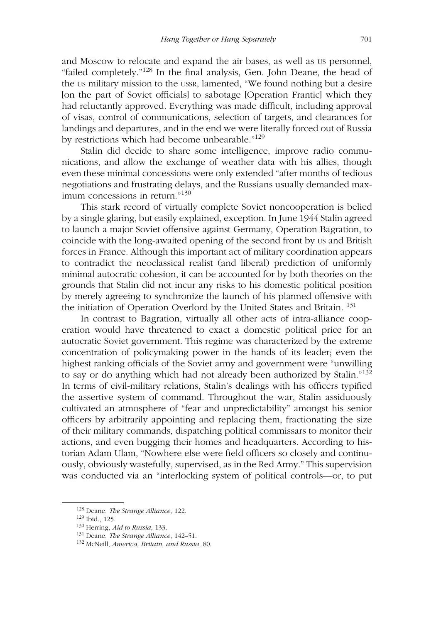and Moscow to relocate and expand the air bases, as well as us personnel, "failed completely."<sup>128</sup> In the final analysis, Gen. John Deane, the head of the US military mission to the USSR, lamented, "We found nothing but a desire [on the part of Soviet officials] to sabotage [Operation Frantic] which they had reluctantly approved. Everything was made difficult, including approval of visas, control of communications, selection of targets, and clearances for landings and departures, and in the end we were literally forced out of Russia by restrictions which had become unbearable."<sup>129</sup>

Stalin did decide to share some intelligence, improve radio communications, and allow the exchange of weather data with his allies, though even these minimal concessions were only extended "after months of tedious negotiations and frustrating delays, and the Russians usually demanded maximum concessions in return."<sup>130</sup>

This stark record of virtually complete Soviet noncooperation is belied by a single glaring, but easily explained, exception. In June 1944 Stalin agreed to launch a major Soviet offensive against Germany, Operation Bagration, to coincide with the long-awaited opening of the second front by US and British forces in France. Although this important act of military coordination appears to contradict the neoclassical realist (and liberal) prediction of uniformly minimal autocratic cohesion, it can be accounted for by both theories on the grounds that Stalin did not incur any risks to his domestic political position by merely agreeing to synchronize the launch of his planned offensive with the initiation of Operation Overlord by the United States and Britain. <sup>131</sup>

In contrast to Bagration, virtually all other acts of intra-alliance cooperation would have threatened to exact a domestic political price for an autocratic Soviet government. This regime was characterized by the extreme concentration of policymaking power in the hands of its leader; even the highest ranking officials of the Soviet army and government were "unwilling to say or do anything which had not already been authorized by Stalin."<sup>132</sup> In terms of civil-military relations, Stalin's dealings with his officers typified the assertive system of command. Throughout the war, Stalin assiduously cultivated an atmosphere of "fear and unpredictability" amongst his senior officers by arbitrarily appointing and replacing them, fractionating the size of their military commands, dispatching political commissars to monitor their actions, and even bugging their homes and headquarters. According to historian Adam Ulam, "Nowhere else were field officers so closely and continuously, obviously wastefully, supervised, as in the Red Army." This supervision was conducted via an "interlocking system of political controls—or, to put

<sup>128</sup> Deane, *The Strange Alliance*, 122.

<sup>129</sup> Ibid., 125.

<sup>130</sup> Herring, *Aid to Russia*, 133.

<sup>131</sup> Deane, *The Strange Alliance*, 142–51.

<sup>132</sup> McNeill, *America, Britain, and Russia*, 80.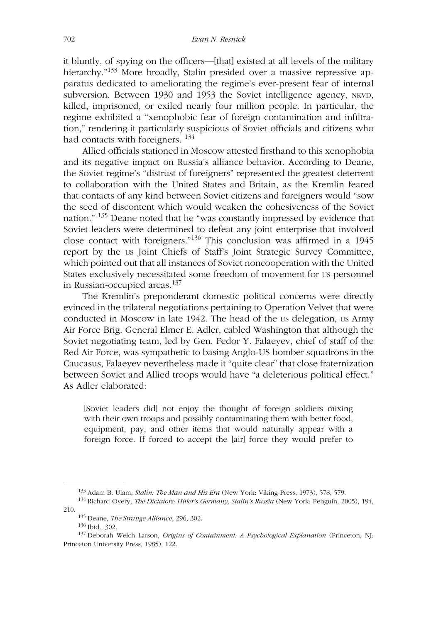it bluntly, of spying on the officers—[that] existed at all levels of the military hierarchy."<sup>133</sup> More broadly, Stalin presided over a massive repressive apparatus dedicated to ameliorating the regime's ever-present fear of internal subversion. Between 1930 and 1953 the Soviet intelligence agency, NKVD, killed, imprisoned, or exiled nearly four million people. In particular, the regime exhibited a "xenophobic fear of foreign contamination and infiltration," rendering it particularly suspicious of Soviet officials and citizens who had contacts with foreigners. <sup>134</sup>

Allied officials stationed in Moscow attested firsthand to this xenophobia and its negative impact on Russia's alliance behavior. According to Deane, the Soviet regime's "distrust of foreigners" represented the greatest deterrent to collaboration with the United States and Britain, as the Kremlin feared that contacts of any kind between Soviet citizens and foreigners would "sow the seed of discontent which would weaken the cohesiveness of the Soviet nation." <sup>135</sup> Deane noted that he "was constantly impressed by evidence that Soviet leaders were determined to defeat any joint enterprise that involved close contact with foreigners."<sup>136</sup> This conclusion was affirmed in a 1945 report by the US Joint Chiefs of Staff's Joint Strategic Survey Committee, which pointed out that all instances of Soviet noncooperation with the United States exclusively necessitated some freedom of movement for US personnel in Russian-occupied areas.<sup>137</sup>

The Kremlin's preponderant domestic political concerns were directly evinced in the trilateral negotiations pertaining to Operation Velvet that were conducted in Moscow in late 1942. The head of the US delegation, US Army Air Force Brig. General Elmer E. Adler, cabled Washington that although the Soviet negotiating team, led by Gen. Fedor Y. Falaeyev, chief of staff of the Red Air Force, was sympathetic to basing Anglo-US bomber squadrons in the Caucasus, Falaeyev nevertheless made it "quite clear" that close fraternization between Soviet and Allied troops would have "a deleterious political effect." As Adler elaborated:

[Soviet leaders did] not enjoy the thought of foreign soldiers mixing with their own troops and possibly contaminating them with better food, equipment, pay, and other items that would naturally appear with a foreign force. If forced to accept the [air] force they would prefer to

210.

<sup>133</sup> Adam B. Ulam, *Stalin: The Man and His Era* (New York: Viking Press, 1973), 578, 579.

<sup>134</sup> Richard Overy, *The Dictators: Hitler's Germany, Stalin's Russia* (New York: Penguin, 2005), 194,

<sup>135</sup> Deane, *The Strange Alliance*, 296, 302.

<sup>136</sup> Ibid., 302.

<sup>137</sup> Deborah Welch Larson, *Origins of Containment: A Psychological Explanation* (Princeton, NJ: Princeton University Press, 1985), 122.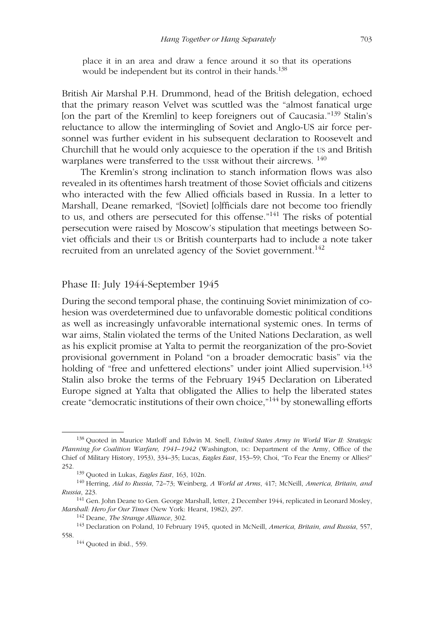place it in an area and draw a fence around it so that its operations would be independent but its control in their hands.<sup>138</sup>

British Air Marshal P.H. Drummond, head of the British delegation, echoed that the primary reason Velvet was scuttled was the "almost fanatical urge [on the part of the Kremlin] to keep foreigners out of Caucasia."<sup>139</sup> Stalin's reluctance to allow the intermingling of Soviet and Anglo-US air force personnel was further evident in his subsequent declaration to Roosevelt and Churchill that he would only acquiesce to the operation if the US and British warplanes were transferred to the USSR without their aircrews. <sup>140</sup>

The Kremlin's strong inclination to stanch information flows was also revealed in its oftentimes harsh treatment of those Soviet officials and citizens who interacted with the few Allied officials based in Russia. In a letter to Marshall, Deane remarked, "[Soviet] [o]fficials dare not become too friendly to us, and others are persecuted for this offense."<sup>141</sup> The risks of potential persecution were raised by Moscow's stipulation that meetings between Soviet officials and their US or British counterparts had to include a note taker recruited from an unrelated agency of the Soviet government.<sup>142</sup>

#### Phase II: July 1944-September 1945

During the second temporal phase, the continuing Soviet minimization of cohesion was overdetermined due to unfavorable domestic political conditions as well as increasingly unfavorable international systemic ones. In terms of war aims, Stalin violated the terms of the United Nations Declaration, as well as his explicit promise at Yalta to permit the reorganization of the pro-Soviet provisional government in Poland "on a broader democratic basis" via the holding of "free and unfettered elections" under joint Allied supervision.<sup>143</sup> Stalin also broke the terms of the February 1945 Declaration on Liberated Europe signed at Yalta that obligated the Allies to help the liberated states create "democratic institutions of their own choice,"144 by stonewalling efforts

<sup>138</sup> Quoted in Maurice Matloff and Edwin M. Snell, *United States Army in World War II: Strategic Planning for Coalition Warfare, 1941–1942* (Washington, DC: Department of the Army, Office of the Chief of Military History, 1953), 334–35; Lucas, *Eagles East*, 153–59; Choi, "To Fear the Enemy or Allies?" 252.

<sup>139</sup> Quoted in Lukas, *Eagles East*, 163, 102n.

<sup>140</sup> Herring, *Aid to Russia*, 72–73; Weinberg, *A World at Arms*, 417; McNeill, *America, Britain, and Russia*, 223.

<sup>&</sup>lt;sup>141</sup> Gen. John Deane to Gen. George Marshall, letter, 2 December 1944, replicated in Leonard Mosley, *Marshall: Hero for Our Times* (New York: Hearst, 1982), 297.

<sup>142</sup> Deane, *The Strange Alliance*, 302.

<sup>143</sup> Declaration on Poland, 10 February 1945, quoted in McNeill, *America, Britain, and Russia*, 557, 558.

 $144$  Quoted in ibid., 559.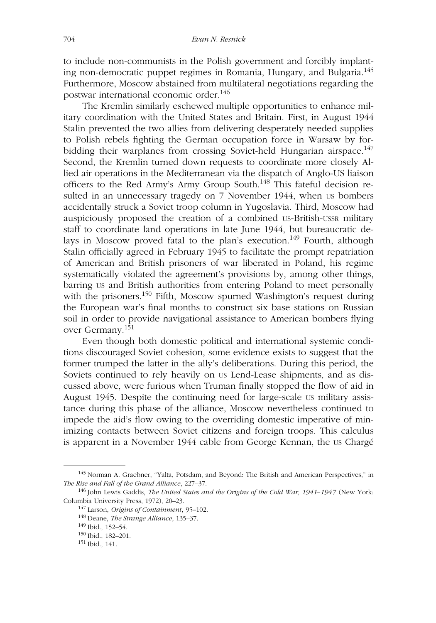to include non-communists in the Polish government and forcibly implanting non-democratic puppet regimes in Romania, Hungary, and Bulgaria.<sup>145</sup> Furthermore, Moscow abstained from multilateral negotiations regarding the postwar international economic order.<sup>146</sup>

The Kremlin similarly eschewed multiple opportunities to enhance military coordination with the United States and Britain. First, in August 1944 Stalin prevented the two allies from delivering desperately needed supplies to Polish rebels fighting the German occupation force in Warsaw by forbidding their warplanes from crossing Soviet-held Hungarian airspace.<sup>147</sup> Second, the Kremlin turned down requests to coordinate more closely Allied air operations in the Mediterranean via the dispatch of Anglo-US liaison officers to the Red Army's Army Group South.<sup>148</sup> This fateful decision resulted in an unnecessary tragedy on 7 November 1944, when us bombers accidentally struck a Soviet troop column in Yugoslavia. Third, Moscow had auspiciously proposed the creation of a combined US-British-USSR military staff to coordinate land operations in late June 1944, but bureaucratic delays in Moscow proved fatal to the plan's execution.<sup>149</sup> Fourth, although Stalin officially agreed in February 1945 to facilitate the prompt repatriation of American and British prisoners of war liberated in Poland, his regime systematically violated the agreement's provisions by, among other things, barring US and British authorities from entering Poland to meet personally with the prisoners.<sup>150</sup> Fifth, Moscow spurned Washington's request during the European war's final months to construct six base stations on Russian soil in order to provide navigational assistance to American bombers flying over Germany.<sup>151</sup>

Even though both domestic political and international systemic conditions discouraged Soviet cohesion, some evidence exists to suggest that the former trumped the latter in the ally's deliberations. During this period, the Soviets continued to rely heavily on US Lend-Lease shipments, and as discussed above, were furious when Truman finally stopped the flow of aid in August 1945. Despite the continuing need for large-scale US military assistance during this phase of the alliance, Moscow nevertheless continued to impede the aid's flow owing to the overriding domestic imperative of minimizing contacts between Soviet citizens and foreign troops. This calculus is apparent in a November 1944 cable from George Kennan, the us Chargé

<sup>145</sup> Norman A. Graebner, "Yalta, Potsdam, and Beyond: The British and American Perspectives," in *The Rise and Fall of the Grand Alliance*, 227–37.

<sup>146</sup> John Lewis Gaddis, *The United States and the Origins of the Cold War, 1941–1947* (New York: Columbia University Press, 1972), 20–23.

<sup>147</sup> Larson, *Origins of Containment*, 95–102.

<sup>148</sup> Deane, *The Strange Alliance*, 135–37.

<sup>149</sup> Ibid., 152–54.

<sup>150</sup> Ibid., 182–201.

<sup>151</sup> Ibid., 141.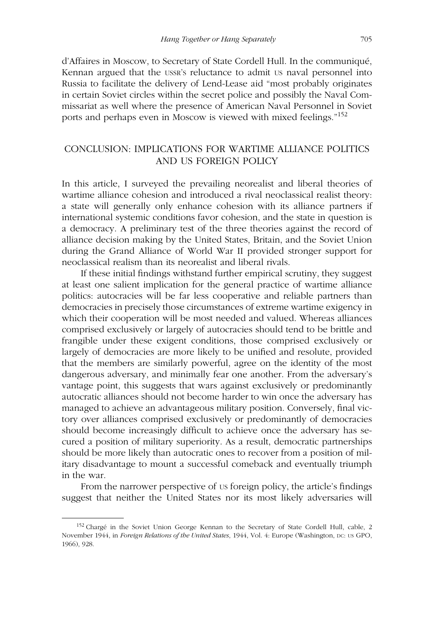d'Affaires in Moscow, to Secretary of State Cordell Hull. In the communique,´ Kennan argued that the USSR'S reluctance to admit US naval personnel into Russia to facilitate the delivery of Lend-Lease aid "most probably originates in certain Soviet circles within the secret police and possibly the Naval Commissariat as well where the presence of American Naval Personnel in Soviet ports and perhaps even in Moscow is viewed with mixed feelings."152

# CONCLUSION: IMPLICATIONS FOR WARTIME ALLIANCE POLITICS AND US FOREIGN POLICY

In this article, I surveyed the prevailing neorealist and liberal theories of wartime alliance cohesion and introduced a rival neoclassical realist theory: a state will generally only enhance cohesion with its alliance partners if international systemic conditions favor cohesion, and the state in question is a democracy. A preliminary test of the three theories against the record of alliance decision making by the United States, Britain, and the Soviet Union during the Grand Alliance of World War II provided stronger support for neoclassical realism than its neorealist and liberal rivals.

If these initial findings withstand further empirical scrutiny, they suggest at least one salient implication for the general practice of wartime alliance politics: autocracies will be far less cooperative and reliable partners than democracies in precisely those circumstances of extreme wartime exigency in which their cooperation will be most needed and valued. Whereas alliances comprised exclusively or largely of autocracies should tend to be brittle and frangible under these exigent conditions, those comprised exclusively or largely of democracies are more likely to be unified and resolute, provided that the members are similarly powerful, agree on the identity of the most dangerous adversary, and minimally fear one another. From the adversary's vantage point, this suggests that wars against exclusively or predominantly autocratic alliances should not become harder to win once the adversary has managed to achieve an advantageous military position. Conversely, final victory over alliances comprised exclusively or predominantly of democracies should become increasingly difficult to achieve once the adversary has secured a position of military superiority. As a result, democratic partnerships should be more likely than autocratic ones to recover from a position of military disadvantage to mount a successful comeback and eventually triumph in the war.

From the narrower perspective of us foreign policy, the article's findings suggest that neither the United States nor its most likely adversaries will

<sup>&</sup>lt;sup>152</sup> Chargé in the Soviet Union George Kennan to the Secretary of State Cordell Hull, cable, 2 November 1944, in *Foreign Relations of the United States*, 1944, Vol. 4: Europe (Washington, DC: US GPO, 1966), 928.